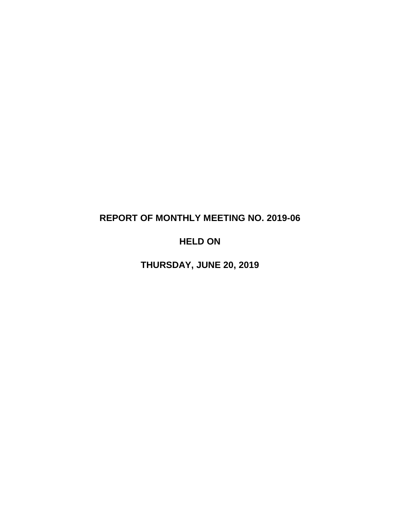# **REPORT OF MONTHLY MEETING NO. 2019-06**

# **HELD ON**

**THURSDAY, JUNE 20, 2019**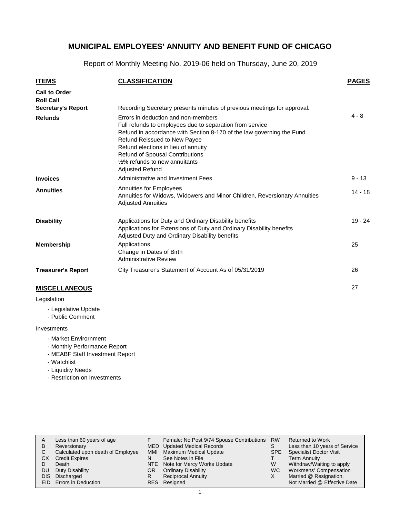Report of Monthly Meeting No. 2019-06 held on Thursday, June 20, 2019

| <b>ITEMS</b>                             | <b>CLASSIFICATION</b>                                                                                                                                                                                                                                                                                                                                       | <b>PAGES</b> |
|------------------------------------------|-------------------------------------------------------------------------------------------------------------------------------------------------------------------------------------------------------------------------------------------------------------------------------------------------------------------------------------------------------------|--------------|
| <b>Call to Order</b><br><b>Roll Call</b> |                                                                                                                                                                                                                                                                                                                                                             |              |
| <b>Secretary's Report</b>                | Recording Secretary presents minutes of previous meetings for approval.                                                                                                                                                                                                                                                                                     |              |
| <b>Refunds</b>                           | Errors in deduction and non-members<br>Full refunds to employees due to separation from service<br>Refund in accordance with Section 8-170 of the law governing the Fund<br>Refund Reissued to New Payee<br>Refund elections in lieu of annuity<br>Refund of Spousal Contributions<br>1/ <sub>2</sub> % refunds to new annuitants<br><b>Adjusted Refund</b> | $4 - 8$      |
| <b>Invoices</b>                          | Administrative and Investment Fees                                                                                                                                                                                                                                                                                                                          | $9 - 13$     |
| <b>Annuities</b>                         | Annuities for Employees<br>Annuities for Widows, Widowers and Minor Children, Reversionary Annuities<br><b>Adjusted Annuities</b>                                                                                                                                                                                                                           | $14 - 18$    |
| <b>Disability</b>                        | Applications for Duty and Ordinary Disability benefits<br>Applications for Extensions of Duty and Ordinary Disability benefits<br>Adjusted Duty and Ordinary Disability benefits                                                                                                                                                                            | $19 - 24$    |
| <b>Membership</b>                        | Applications<br>Change in Dates of Birth<br><b>Administrative Review</b>                                                                                                                                                                                                                                                                                    | 25           |
| <b>Treasurer's Report</b>                | City Treasurer's Statement of Account As of 05/31/2019                                                                                                                                                                                                                                                                                                      | 26           |
| <b>MISCELLANEOUS</b>                     |                                                                                                                                                                                                                                                                                                                                                             | 27           |

#### **MISCELLANEOUS**

Legislation

- Legislative Update
- Public Comment

#### Investments

- Market Envirornment
- Monthly Performance Report
- MEABF Staff Investment Report
- Watchlist
- Liquidity Needs
- Restriction on Investments

| A   | Less than 60 years of age         |     | Female: No Post 9/74 Spouse Contributions | <b>RW</b>  | <b>Returned to Work</b>        |
|-----|-----------------------------------|-----|-------------------------------------------|------------|--------------------------------|
| B   | Reversionary                      |     | MED Updated Medical Records               | S          | Less than 10 years of Service  |
|     | Calculated upon death of Employee | MMI | Maximum Medical Update                    | <b>SPE</b> | <b>Specialist Doctor Visit</b> |
| СX  | <b>Credit Expires</b>             | N   | See Notes in File                         |            | Term Annuity                   |
|     | Death                             |     | NTE Note for Mercy Works Update           | W          | Withdraw/Waiting to apply      |
| DU. | Duty Disability                   | OR. | <b>Ordinary Disability</b>                | WC.        | Workmens' Compensation         |
|     | DIS Discharged                    | R   | <b>Reciprocal Annuity</b>                 | X          | Married @ Resignation,         |
|     | EID Errors in Deduction           |     | RES Resigned                              |            | Not Married @ Effective Date   |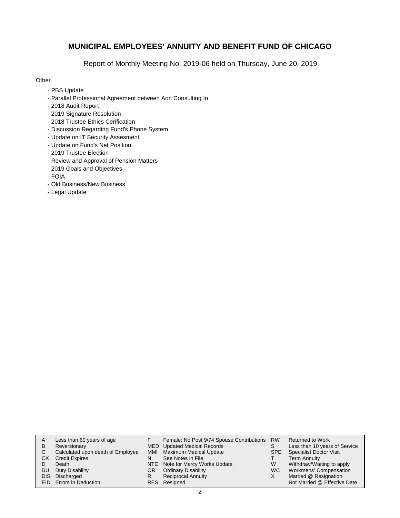Report of Monthly Meeting No. 2019-06 held on Thursday, June 20, 2019

### **Other**

- PBS Update
- Parallel Professional Agreement between Aon Consulting In
- 2018 Audit Report
- 2019 Signature Resolution
- 2018 Trustee Ethics Cerification
- Discussion Regarding Fund's Phone System
- Update on IT Security Assesment
- Update on Fund's Net Position
- 2019 Trustee Election
- Review and Approval of Pension Matters
- 2019 Goals and Objectives
- FOIA
- Old Business/New Business
- Legal Update

| A          | Less than 60 years of age         |     | Female: No Post 9/74 Spouse Contributions RW |     | <b>Returned to Work</b>        |
|------------|-----------------------------------|-----|----------------------------------------------|-----|--------------------------------|
| в          | Reversionary                      |     | MED Updated Medical Records                  |     | Less than 10 years of Service  |
| С          | Calculated upon death of Employee | MMI | Maximum Medical Update                       | SPE | <b>Specialist Doctor Visit</b> |
| СX         | <b>Credit Expires</b>             | N   | See Notes in File                            |     | <b>Term Annuity</b>            |
| D          | Death                             |     | NTE Note for Mercy Works Update              | W   | Withdraw/Waiting to apply      |
| DU         | Duty Disability                   | OR. | <b>Ordinary Disability</b>                   | WC. | Workmens' Compensation         |
| <b>DIS</b> | Discharged                        |     | <b>Reciprocal Annuity</b>                    | X   | Married @ Resignation,         |
|            | EID Errors in Deduction           |     | RES Resigned                                 |     | Not Married @ Effective Date   |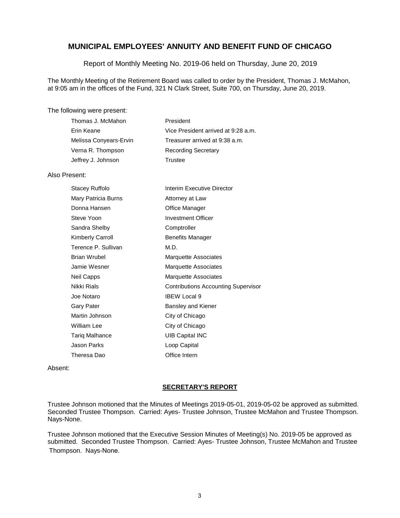Report of Monthly Meeting No. 2019-06 held on Thursday, June 20, 2019

The Monthly Meeting of the Retirement Board was called to order by the President, Thomas J. McMahon, at 9:05 am in the offices of the Fund, 321 N Clark Street, Suite 700, on Thursday, June 20, 2019.

#### The following were present:

| Thomas J. McMahon      | President                           |
|------------------------|-------------------------------------|
| Erin Keane             | Vice President arrived at 9:28 a.m. |
| Melissa Convears-Ervin | Treasurer arrived at 9:38 a.m.      |
| Verna R. Thompson      | <b>Recording Secretary</b>          |
| Jeffrey J. Johnson     | Trustee                             |

#### Also Present:

| Stacey Ruffolo      | Interim Executive Director                 |
|---------------------|--------------------------------------------|
| Mary Patricia Burns | Attorney at Law                            |
| Donna Hansen        | Office Manager                             |
| Steve Yoon          | <b>Investment Officer</b>                  |
| Sandra Shelby       | Comptroller                                |
| Kimberly Carroll    | <b>Benefits Manager</b>                    |
| Terence P. Sullivan | M.D.                                       |
| Brian Wrubel        | Marquette Associates                       |
| Jamie Wesner        | Marquette Associates                       |
| Neil Capps          | Marquette Associates                       |
| Nikki Rials         | <b>Contributions Accounting Supervisor</b> |
| Joe Notaro          | <b>IBEW Local 9</b>                        |
| Gary Pater          | Bansley and Kiener                         |
| Martin Johnson      | City of Chicago                            |
| William Lee         | City of Chicago                            |
| Tariq Malhance      | <b>UIB Capital INC</b>                     |
| Jason Parks         | Loop Capital                               |
| Theresa Dao         | Office Intern                              |

Absent:

#### **SECRETARY'S REPORT**

Trustee Johnson motioned that the Minutes of Meetings 2019-05-01, 2019-05-02 be approved as submitted. Seconded Trustee Thompson. Carried: Ayes- Trustee Johnson, Trustee McMahon and Trustee Thompson. Nays-None.

Trustee Johnson motioned that the Executive Session Minutes of Meeting(s) No. 2019-05 be approved as submitted. Seconded Trustee Thompson. Carried: Ayes- Trustee Johnson, Trustee McMahon and Trustee Thompson. Nays-None.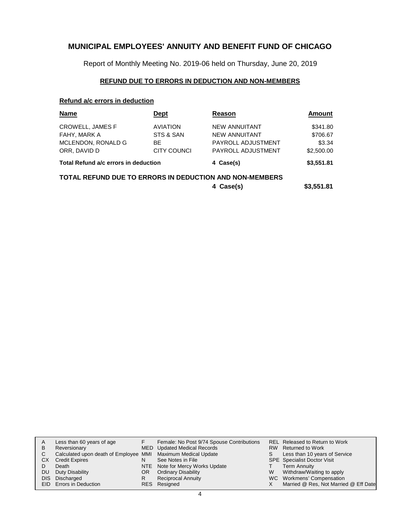Report of Monthly Meeting No. 2019-06 held on Thursday, June 20, 2019

### **REFUND DUE TO ERRORS IN DEDUCTION AND NON-MEMBERS**

### **Refund a/c errors in deduction**

| <b>Name</b>                                             | Dept            | Reason               | Amount     |
|---------------------------------------------------------|-----------------|----------------------|------------|
| CROWELL, JAMES F                                        | <b>AVIATION</b> | <b>NEW ANNUITANT</b> | \$341.80   |
| FAHY, MARK A                                            | STS & SAN       | <b>NEW ANNUITANT</b> | \$706.67   |
| MCLENDON, RONALD G                                      | ВE              | PAYROLL ADJUSTMENT   | \$3.34     |
| ORR, DAVID D                                            | CITY COUNCI     | PAYROLL ADJUSTMENT   | \$2,500.00 |
| Total Refund a/c errors in deduction                    |                 | 4 Case(s)            | \$3,551.81 |
| TOTAL REFUND DUE TO ERRORS IN DEDUCTION AND NON-MEMBERS |                 |                      |            |
|                                                         |                 | 4 Case(s)            | \$3,551.81 |

| A         | Less than 60 years of age                                    |     | Female: No Post 9/74 Spouse Contributions |   | <b>REL Released to Return to Work</b> |
|-----------|--------------------------------------------------------------|-----|-------------------------------------------|---|---------------------------------------|
| B         | Reversionary                                                 |     | MED Updated Medical Records               |   | RW Returned to Work                   |
|           | Calculated upon death of Employee MMI Maximum Medical Update |     |                                           |   | Less than 10 years of Service         |
| CХ        | <b>Credit Expires</b>                                        |     | See Notes in File                         |   | <b>SPE</b> Specialist Doctor Visit    |
|           | Death                                                        |     | NTE Note for Mercy Works Update           |   | <b>Term Annuity</b>                   |
| <b>DU</b> | Duty Disability                                              | OR. | <b>Ordinary Disability</b>                | W | Withdraw/Waiting to apply             |
|           | DIS Discharged                                               |     | <b>Reciprocal Annuity</b>                 |   | WC Workmens' Compensation             |
|           | <b>EID</b> Errors in Deduction                               |     | RES Resigned                              |   | Married @ Res, Not Married @ Eff Date |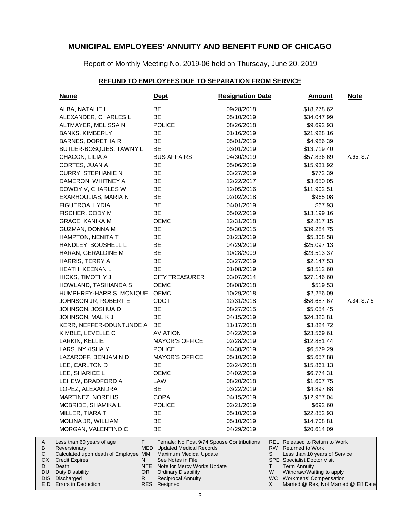Report of Monthly Meeting No. 2019-06 held on Thursday, June 20, 2019

### **REFUND TO EMPLOYEES DUE TO SEPARATION FROM SERVICE**

| <u>Name</u>                                           | <b>Dept</b>                                                                     | <b>Resignation Date</b>                   | <b>Amount</b>                                                        | <u>Note</u> |
|-------------------------------------------------------|---------------------------------------------------------------------------------|-------------------------------------------|----------------------------------------------------------------------|-------------|
| ALBA, NATALIE L                                       | BE                                                                              | 09/28/2018                                | \$18,278.62                                                          |             |
| ALEXANDER, CHARLES L                                  | BE                                                                              | 05/10/2019                                | \$34,047.99                                                          |             |
| ALTMAYER, MELISSA N                                   | <b>POLICE</b>                                                                   | 08/26/2018                                | \$9,692.93                                                           |             |
| <b>BANKS, KIMBERLY</b>                                | BE                                                                              | 01/16/2019                                | \$21,928.16                                                          |             |
| BARNES, DORETHA R                                     | BE                                                                              | 05/01/2019                                | \$4,986.39                                                           |             |
| BUTLER-BOSQUES, TAWNY L                               | BE                                                                              | 03/01/2019                                | \$13,719.40                                                          |             |
| CHACON, LILIA A                                       | <b>BUS AFFAIRS</b>                                                              | 04/30/2019                                | \$57,836.69                                                          | A:65, S:7   |
| CORTES, JUAN A                                        | BE                                                                              | 05/06/2019                                | \$15,931.92                                                          |             |
| <b>CURRY, STEPHANIE N</b>                             | BE                                                                              | 03/27/2019                                | \$772.39                                                             |             |
| DAMERON, WHITNEY A                                    | BE                                                                              | 12/22/2017                                | \$3,650.05                                                           |             |
| DOWDY V, CHARLES W                                    | BE                                                                              | 12/05/2016                                | \$11,902.51                                                          |             |
| EXARHOULIAS, MARIA N                                  | BE                                                                              | 02/02/2018                                | \$965.08                                                             |             |
| FIGUEROA, LYDIA                                       | BE                                                                              | 04/01/2019                                | \$67.93                                                              |             |
| FISCHER, CODY M                                       | BE                                                                              | 05/02/2019                                | \$13,199.16                                                          |             |
| <b>GRACE, KANIKA M</b>                                | OEMC                                                                            | 12/31/2018                                | \$2,817.15                                                           |             |
| GUZMAN, DONNA M                                       | BE                                                                              | 05/30/2015                                | \$39,284.75                                                          |             |
| HAMPTON, NENITA T                                     | BE                                                                              | 01/23/2019                                | \$5,308.58                                                           |             |
| HANDLEY, BOUSHELL L                                   | BE                                                                              | 04/29/2019                                | \$25,097.13                                                          |             |
| HARAN, GERALDINE M                                    | BE                                                                              | 10/28/2009                                | \$23,513.37                                                          |             |
| HARRIS, TERRY A                                       | BE                                                                              | 03/27/2019                                | \$2,147.53                                                           |             |
| HEATH, KEENAN L                                       | <b>BE</b>                                                                       | 01/08/2019                                | \$8,512.60                                                           |             |
| HICKS, TIMOTHY J                                      | <b>CITY TREASURER</b>                                                           | 03/07/2014                                | \$27,146.60                                                          |             |
| HOWLAND, TASHIANDA S                                  | OEMC                                                                            | 08/08/2018                                | \$519.53                                                             |             |
| HUMPHREY-HARRIS, MONIQUE                              | <b>OEMC</b>                                                                     | 10/29/2018                                | \$2,256.09                                                           |             |
| JOHNSON JR, ROBERT E                                  | <b>CDOT</b>                                                                     | 12/31/2018                                | \$58,687.67                                                          | A:34, S:7.5 |
| JOHNSON, JOSHUA D                                     | BE                                                                              | 08/27/2015                                | \$5,054.45                                                           |             |
| JOHNSON, MALIK J                                      | BE                                                                              | 04/15/2019                                | \$24,323.81                                                          |             |
| KERR, NEFFER-ODUNTUNDE A                              | BE                                                                              | 11/17/2018                                | \$3,824.72                                                           |             |
| KIMBLE, LEVELLE C                                     | <b>AVIATION</b>                                                                 | 04/22/2019                                | \$23,569.61                                                          |             |
| LARKIN, KELLIE                                        | <b>MAYOR'S OFFICE</b>                                                           | 02/28/2019                                | \$12,881.44                                                          |             |
| LARS, NYKISHA Y                                       | <b>POLICE</b>                                                                   | 04/30/2019                                | \$6,579.29                                                           |             |
| LAZAROFF, BENJAMIN D                                  | <b>MAYOR'S OFFICE</b>                                                           | 05/10/2019                                | \$5,657.88                                                           |             |
| LEE, CARLTON D                                        | BE                                                                              | 02/24/2018                                | \$15,861.13                                                          |             |
| LEE, SHARICE L                                        | OEMC                                                                            | 04/02/2019                                | \$6,774.31                                                           |             |
| LEHEW, BRADFORD A                                     | LAW                                                                             | 08/20/2018                                | \$1,607.75                                                           |             |
| LOPEZ, ALEXANDRA                                      | ВE                                                                              | 03/22/2019                                | \$4,897.68                                                           |             |
| MARTINEZ, NORELIS                                     | <b>COPA</b>                                                                     | 04/15/2019                                | \$12,957.04                                                          |             |
| MCBRIDE, SHAMIKA L                                    | <b>POLICE</b>                                                                   | 02/21/2019                                | \$692.60                                                             |             |
| MILLER, TIARA T                                       | BE                                                                              | 05/10/2019                                | \$22,852.93                                                          |             |
| MOLINA JR, WILLIAM                                    | BE                                                                              | 05/10/2019                                | \$14,708.81                                                          |             |
| MORGAN, VALENTINO C                                   | BE                                                                              | 04/29/2019                                | \$20,614.09                                                          |             |
| Less than 60 years of age                             | F                                                                               | Female: No Post 9/74 Spouse Contributions | <b>REL Released to Return to Work</b>                                |             |
| Reversionary<br>Calculated upon death of Employee MMI | MED<br><b>Updated Medical Records</b><br>Maximum Medical Update                 |                                           | RW.<br><b>Returned to Work</b><br>S<br>Less than 10 years of Service |             |
| <b>Credit Expires</b>                                 | See Notes in File<br>N                                                          |                                           | SPE Specialist Doctor Visit                                          |             |
| Death                                                 | NTE<br>Note for Mercy Works Update                                              |                                           | Τ<br><b>Term Annuity</b>                                             |             |
| <b>Duty Disability</b><br>Discharged                  | OR <sub>1</sub><br><b>Ordinary Disability</b><br>R<br><b>Reciprocal Annuity</b> |                                           | W<br>Withdraw/Waiting to apply<br>WC Workmens' Compensation          |             |
| Errors in Deduction                                   | RES Resigned                                                                    |                                           | Married @ Res, Not Married @ Eff Date<br>X.                          |             |

A B C CX D DU DIS EID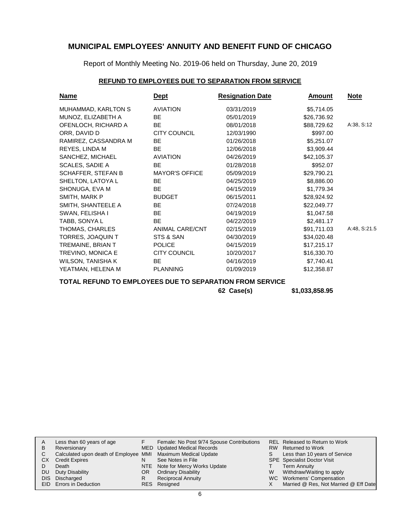Report of Monthly Meeting No. 2019-06 held on Thursday, June 20, 2019

### **REFUND TO EMPLOYEES DUE TO SEPARATION FROM SERVICE**

| <u>Name</u>               | <b>Dept</b>            | <b>Resignation Date</b> | Amount      | <b>Note</b>  |
|---------------------------|------------------------|-------------------------|-------------|--------------|
| MUHAMMAD, KARLTON S       | <b>AVIATION</b>        | 03/31/2019              | \$5,714.05  |              |
| MUNOZ, ELIZABETH A        | BE                     | 05/01/2019              | \$26,736.92 |              |
| OFENLOCH, RICHARD A       | <b>BE</b>              | 08/01/2018              | \$88,729.62 | A:38, S:12   |
| ORR, DAVID D              | <b>CITY COUNCIL</b>    | 12/03/1990              | \$997.00    |              |
| RAMIREZ, CASSANDRA M      | BE.                    | 01/26/2018              | \$5,251.07  |              |
| REYES, LINDA M            | BE                     | 12/06/2018              | \$3,909.44  |              |
| SANCHEZ, MICHAEL          | <b>AVIATION</b>        | 04/26/2019              | \$42,105.37 |              |
| SCALES, SADIE A           | BE.                    | 01/28/2018              | \$952.07    |              |
| <b>SCHAFFER, STEFAN B</b> | <b>MAYOR'S OFFICE</b>  | 05/09/2019              | \$29,790.21 |              |
| SHELTON, LATOYA L         | BE                     | 04/25/2019              | \$8,886.00  |              |
| SHONUGA, EVA M            | <b>BE</b>              | 04/15/2019              | \$1,779.34  |              |
| SMITH, MARK P             | <b>BUDGET</b>          | 06/15/2011              | \$28,924.92 |              |
| SMITH, SHANTEELE A        | <b>BE</b>              | 07/24/2018              | \$22,049.77 |              |
| SWAN, FELISHA I           | BE                     | 04/19/2019              | \$1,047.58  |              |
| TABB, SONYA L             | <b>BE</b>              | 04/22/2019              | \$2,481.17  |              |
| THOMAS, CHARLES           | <b>ANIMAL CARE/CNT</b> | 02/15/2019              | \$91,711.03 | A:48, S:21.5 |
| TORRES, JOAQUIN T         | STS & SAN              | 04/30/2019              | \$34,020.48 |              |
| TREMAINE, BRIAN T         | <b>POLICE</b>          | 04/15/2019              | \$17,215.17 |              |
| TREVINO, MONICA E         | <b>CITY COUNCIL</b>    | 10/20/2017              | \$16,330.70 |              |
| WILSON, TANISHA K         | BE.                    | 04/16/2019              | \$7,740.41  |              |
| YEATMAN, HELENA M         | <b>PLANNING</b>        | 01/09/2019              | \$12,358.87 |              |

**TOTAL REFUND TO EMPLOYEES DUE TO SEPARATION FROM SERVICE**

**62 Case(s) \$1,033,858.95**

| A         | Less than 60 years of age                                    |     | Female: No Post 9/74 Spouse Contributions |   | <b>REL Released to Return to Work</b> |
|-----------|--------------------------------------------------------------|-----|-------------------------------------------|---|---------------------------------------|
| B         | Reversionary                                                 |     | MED Updated Medical Records               |   | RW Returned to Work                   |
| C.        | Calculated upon death of Employee MMI Maximum Medical Update |     |                                           |   | Less than 10 years of Service         |
| CX.       | <b>Credit Expires</b>                                        |     | See Notes in File                         |   | <b>SPE</b> Specialist Doctor Visit    |
|           | Death                                                        |     | NTE Note for Mercy Works Update           |   | <b>Term Annuity</b>                   |
| <b>DU</b> | Duty Disability                                              | OR. | <b>Ordinary Disability</b>                | W | Withdraw/Waiting to apply             |
|           | DIS Discharged                                               |     | Reciprocal Annuity                        |   | WC Workmens' Compensation             |
|           | EID Errors in Deduction                                      |     | RES Resigned                              |   | Married @ Res, Not Married @ Eff Date |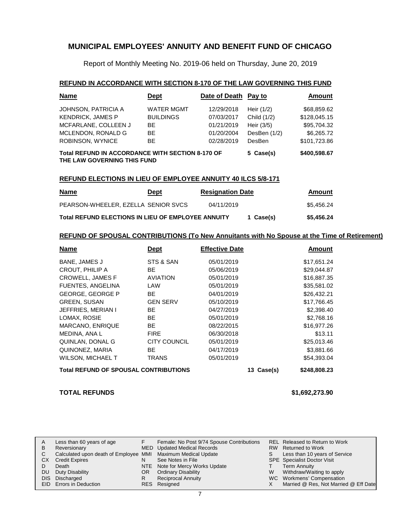Report of Monthly Meeting No. 2019-06 held on Thursday, June 20, 2019

#### **REFUND IN ACCORDANCE WITH SECTION 8-170 OF THE LAW GOVERNING THIS FUND**

| <b>Name</b>                                                                            | <u>Dept</u>       | Date of Death Pay to |              | Amount       |
|----------------------------------------------------------------------------------------|-------------------|----------------------|--------------|--------------|
| JOHNSON, PATRICIA A                                                                    | <b>WATER MGMT</b> | 12/29/2018           | Heir (1/2)   | \$68,859.62  |
| <b>KENDRICK, JAMES P</b>                                                               | <b>BUILDINGS</b>  | 07/03/2017           | Child (1/2)  | \$128,045.15 |
| MCFARLANE, COLLEEN J                                                                   | <b>BE</b>         | 01/21/2019           | Heir (3/5)   | \$95,704.32  |
| MCLENDON, RONALD G                                                                     | BE.               | 01/20/2004           | DesBen (1/2) | \$6,265.72   |
| ROBINSON, WYNICE                                                                       | BE.               | 02/28/2019           | DesBen       | \$101.723.86 |
| <b>Total REFUND IN ACCORDANCE WITH SECTION 8-170 OF</b><br>THE LAW GOVERNING THIS FUND |                   |                      | 5 Case(s)    | \$400,598.67 |

#### **REFUND ELECTIONS IN LIEU OF EMPLOYEE ANNUITY 40 ILCS 5/8-171**

| <u>Name</u>                                               | Dept | <b>Resignation Date</b> |           | Amount     |
|-----------------------------------------------------------|------|-------------------------|-----------|------------|
| PEARSON-WHEELER, EZELLA SENIOR SVCS                       |      | 04/11/2019              |           | \$5,456.24 |
| <b>Total REFUND ELECTIONS IN LIEU OF EMPLOYEE ANNUITY</b> |      |                         | 1 Case(s) | \$5,456.24 |

#### **REFUND OF SPOUSAL CONTRIBUTIONS (To New Annuitants with No Spouse at the Time of Retirement)**

| <b>Name</b>                                  | <b>Dept</b>     | <b>Effective Date</b>      | Amount      |
|----------------------------------------------|-----------------|----------------------------|-------------|
| <b>BANE, JAMES J</b>                         | STS & SAN       | 05/01/2019                 | \$17,651.24 |
| CROUT, PHILIP A                              | BE              | 05/06/2019                 | \$29,044.87 |
| <b>CROWELL, JAMES F</b>                      | <b>AVIATION</b> | 05/01/2019                 | \$16,887.35 |
| <b>FUENTES, ANGELINA</b>                     | LAW             | 05/01/2019                 | \$35,581.02 |
| <b>GEORGE, GEORGE P</b>                      | BE.             | 04/01/2019                 | \$26,432.21 |
| <b>GREEN, SUSAN</b>                          | <b>GEN SERV</b> | 05/10/2019                 | \$17,766.45 |
| JEFFRIES, MERIAN I                           | BE.             | 04/27/2019                 | \$2,398.40  |
| LOMAX, ROSIE                                 | <b>BE</b>       | 05/01/2019                 | \$2,768.16  |
| <b>MARCANO, ENRIQUE</b>                      | <b>BE</b>       | 08/22/2015                 | \$16,977.26 |
| MEDINA, ANA L                                | <b>FIRE</b>     | 06/30/2018                 | \$13.11     |
| QUINLAN, DONAL G                             | CITY COUNCIL    | 05/01/2019                 | \$25,013.46 |
| QUINONEZ, MARIA                              | BE              | 04/17/2019                 | \$3,881.66  |
| <b>WILSON, MICHAEL T</b>                     | <b>TRANS</b>    | 05/01/2019                 | \$54,393.04 |
| <b>Total REFUND OF SPOUSAL CONTRIBUTIONS</b> |                 | \$248,808.23<br>13 Case(s) |             |

#### **TOTAL REFUNDS \$1,692,273.90**

| A   | Less than 60 years of age                                    |     | Female: No Post 9/74 Spouse Contributions |   | REL Released to Return to Work        |
|-----|--------------------------------------------------------------|-----|-------------------------------------------|---|---------------------------------------|
| B   | Reversionary                                                 |     | MED Updated Medical Records               |   | RW Returned to Work                   |
|     | Calculated upon death of Employee MMI Maximum Medical Update |     |                                           |   | Less than 10 years of Service         |
|     | <b>CX</b> Credit Expires                                     |     | See Notes in File                         |   | <b>SPE</b> Specialist Doctor Visit    |
|     | Death                                                        |     | NTE Note for Mercy Works Update           |   | <b>Term Annuity</b>                   |
| DU. | Duty Disability                                              | OR. | <b>Ordinary Disability</b>                | W | Withdraw/Waiting to apply             |
|     | DIS Discharged                                               |     | <b>Reciprocal Annuity</b>                 |   | WC Workmens' Compensation             |
|     | <b>EID</b> Errors in Deduction                               |     | RES Resigned                              |   | Married @ Res, Not Married @ Eff Date |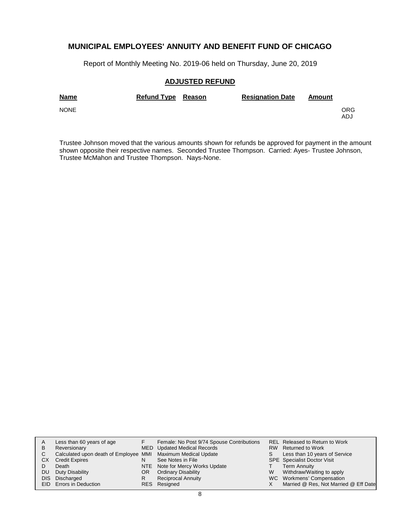Report of Monthly Meeting No. 2019-06 held on Thursday, June 20, 2019

### **ADJUSTED REFUND**

| <b>Name</b> | Refund Type Reason | <b>Resignation Date</b> | Amount |            |
|-------------|--------------------|-------------------------|--------|------------|
| <b>NONE</b> |                    |                         |        | ORG<br>ADJ |

Trustee Johnson moved that the various amounts shown for refunds be approved for payment in the amount shown opposite their respective names. Seconded Trustee Thompson. Carried: Ayes- Trustee Johnson, Trustee McMahon and Trustee Thompson. Nays-None.

|     | Less than 60 years of age                                    |     | Female: No Post 9/74 Spouse Contributions |   | <b>REL Released to Return to Work</b> |
|-----|--------------------------------------------------------------|-----|-------------------------------------------|---|---------------------------------------|
| В   | Reversionary                                                 |     | MED Updated Medical Records               |   | RW Returned to Work                   |
|     | Calculated upon death of Employee MMI Maximum Medical Update |     |                                           |   | Less than 10 years of Service         |
| CХ  | <b>Credit Expires</b>                                        |     | See Notes in File                         |   | <b>SPE</b> Specialist Doctor Visit    |
|     | Death                                                        |     | NTE Note for Mercy Works Update           |   | <b>Term Annuity</b>                   |
| DU. | Duty Disability                                              | OR. | <b>Ordinary Disability</b>                | W | Withdraw/Waiting to apply             |
|     | DIS Discharged                                               |     | <b>Reciprocal Annuity</b>                 |   | WC Workmens' Compensation             |
|     | <b>EID</b> Errors in Deduction                               |     | RES Resigned                              |   | Married @ Res, Not Married @ Eff Date |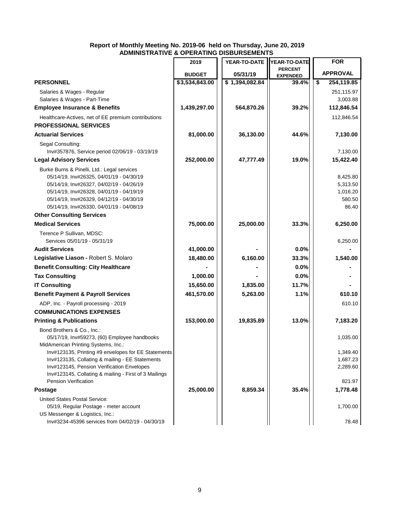|                                                                                               | 2019           | YEAR-TO-DATE   | YEAR-TO-DATE    | <b>FOR</b>             |
|-----------------------------------------------------------------------------------------------|----------------|----------------|-----------------|------------------------|
|                                                                                               |                |                | <b>PERCENT</b>  | <b>APPROVAL</b>        |
|                                                                                               | <b>BUDGET</b>  | 05/31/19       | <b>EXPENDED</b> |                        |
| <b>PERSONNEL</b>                                                                              | \$3,534,843.00 | \$1,394,082.84 | 39.4%           | \$<br>254,119.85       |
| Salaries & Wages - Regular<br>Salaries & Wages - Part-Time                                    |                |                |                 | 251,115.97<br>3,003.88 |
| <b>Employee Insurance &amp; Benefits</b>                                                      | 1,439,297.00   | 564,870.26     | 39.2%           | 112,846.54             |
| Healthcare-Actives, net of EE premium contributions                                           |                |                |                 | 112,846.54             |
| <b>PROFESSIONAL SERVICES</b>                                                                  |                |                |                 |                        |
| <b>Actuarial Services</b>                                                                     | 81,000.00      | 36,130.00      | 44.6%           | 7,130.00               |
|                                                                                               |                |                |                 |                        |
| Segal Consulting:<br>Inv#357876, Service period 02/06/19 - 03/19/19                           |                |                |                 | 7,130.00               |
| <b>Legal Advisory Services</b>                                                                | 252,000.00     | 47,777.49      | 19.0%           | 15,422.40              |
| Burke Burns & Pinelli, Ltd.: Legal services                                                   |                |                |                 |                        |
| 05/14/19, Inv#26325, 04/01/19 - 04/30/19                                                      |                |                |                 | 8,425.80               |
| 05/14/19, Inv#26327, 04/02/19 - 04/26/19                                                      |                |                |                 | 5,313.50               |
| 05/14/19, Inv#26328, 04/01/19 - 04/19/19                                                      |                |                |                 | 1,016.20               |
| 05/14/19, Inv#26329, 04/12/19 - 04/30/19                                                      |                |                |                 | 580.50                 |
| 05/14/19, Inv#26330, 04/01/19 - 04/08/19                                                      |                |                |                 | 86.40                  |
| <b>Other Consulting Services</b>                                                              |                |                |                 |                        |
| <b>Medical Services</b>                                                                       | 75,000.00      | 25,000.00      | 33.3%           | 6,250.00               |
| Terence P Sullivan, MDSC:                                                                     |                |                |                 |                        |
| Services 05/01/19 - 05/31/19                                                                  |                |                |                 | 6,250.00               |
| <b>Audit Services</b>                                                                         | 41,000.00      |                | 0.0%            |                        |
| Legislative Liason - Robert S. Molaro                                                         | 18,480.00      | 6,160.00       | 33.3%           | 1,540.00               |
| <b>Benefit Consulting: City Healthcare</b>                                                    |                |                | 0.0%            |                        |
| <b>Tax Consulting</b>                                                                         | 1,000.00       |                | 0.0%            |                        |
| <b>IT Consulting</b>                                                                          | 15,650.00      | 1,835.00       | 11.7%           |                        |
| <b>Benefit Payment &amp; Payroll Services</b>                                                 | 461,570.00     | 5,263.00       | 1.1%            | 610.10                 |
| ADP, Inc. - Payroll processing - 2019                                                         |                |                |                 | 610.10                 |
| <b>COMMUNICATIONS EXPENSES</b>                                                                |                |                |                 |                        |
| <b>Printing &amp; Publications</b>                                                            | 153,000.00     | 19,835.89      | 13.0%           | 7,183.20               |
| Bond Brothers & Co., Inc.:                                                                    |                |                |                 |                        |
| 05/17/19, Inv#59273, (60) Employee handbooks                                                  |                |                |                 | 1,035.00               |
| MidAmerican Printing Systems, Inc.:                                                           |                |                |                 |                        |
| Inv#123135, Printing #9 envelopes for EE Statements                                           |                |                |                 | 1,349.40               |
| Inv#123135, Collating & mailing - EE Statements<br>Inv#123145, Pension Verification Envelopes |                |                |                 | 1,687.23<br>2,289.60   |
| Inv#123145, Collating & mailing - First of 3 Mailings                                         |                |                |                 |                        |
| Pension Verification                                                                          |                |                |                 | 821.97                 |
| <b>Postage</b>                                                                                | 25,000.00      | 8,859.34       | 35.4%           | 1,778.48               |
| United States Postal Service:                                                                 |                |                |                 |                        |
| 05/19, Regular Postage - meter account                                                        |                |                |                 | 1,700.00               |
| US Messenger & Logistics, Inc.:                                                               |                |                |                 |                        |
| Inv#3234-45396 services from 04/02/19 - 04/30/19                                              |                |                |                 | 78.48                  |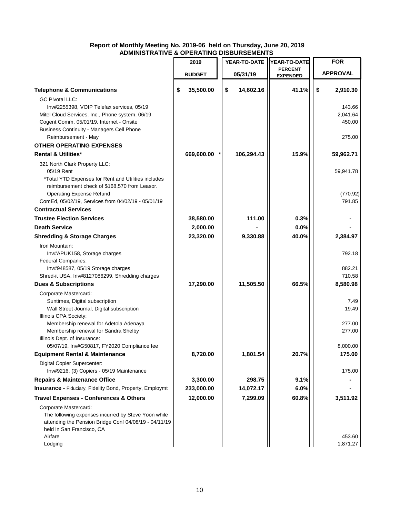|                                                                                                      | 2019            |          | YEAR-TO-DATE | YEAR-TO-DATE                      |    | <b>FOR</b>       |  |
|------------------------------------------------------------------------------------------------------|-----------------|----------|--------------|-----------------------------------|----|------------------|--|
|                                                                                                      | <b>BUDGET</b>   | 05/31/19 |              | <b>PERCENT</b><br><b>EXPENDED</b> |    | <b>APPROVAL</b>  |  |
|                                                                                                      |                 |          |              |                                   |    |                  |  |
| <b>Telephone &amp; Communications</b>                                                                | \$<br>35,500.00 | \$       | 14,602.16    | 41.1%                             | \$ | 2,910.30         |  |
| <b>GC Pivotal LLC:</b><br>Inv#2255398, VOIP Telefax services, 05/19                                  |                 |          |              |                                   |    | 143.66           |  |
| Mitel Cloud Services, Inc., Phone system, 06/19                                                      |                 |          |              |                                   |    | 2,041.64         |  |
| Cogent Comm, 05/01/19, Internet - Onsite                                                             |                 |          |              |                                   |    | 450.00           |  |
| <b>Business Continuity - Managers Cell Phone</b>                                                     |                 |          |              |                                   |    |                  |  |
| Reimbursement - May                                                                                  |                 |          |              |                                   |    | 275.00           |  |
| <b>OTHER OPERATING EXPENSES</b>                                                                      |                 |          |              |                                   |    |                  |  |
| <b>Rental &amp; Utilities*</b>                                                                       | 669,600.00      |          | 106,294.43   | 15.9%                             |    | 59,962.71        |  |
| 321 North Clark Property LLC:                                                                        |                 |          |              |                                   |    |                  |  |
| 05/19 Rent                                                                                           |                 |          |              |                                   |    | 59,941.78        |  |
| *Total YTD Expenses for Rent and Utilities includes<br>reimbursement check of \$168,570 from Leasor. |                 |          |              |                                   |    |                  |  |
| <b>Operating Expense Refund</b>                                                                      |                 |          |              |                                   |    | (770.92)         |  |
| ComEd, 05/02/19, Services from 04/02/19 - 05/01/19                                                   |                 |          |              |                                   |    | 791.85           |  |
| <b>Contractual Services</b>                                                                          |                 |          |              |                                   |    |                  |  |
| <b>Trustee Election Services</b>                                                                     | 38,580.00       |          | 111.00       | 0.3%                              |    |                  |  |
| <b>Death Service</b>                                                                                 | 2,000.00        |          |              | 0.0%                              |    |                  |  |
| <b>Shredding &amp; Storage Charges</b>                                                               | 23,320.00       |          | 9,330.88     | 40.0%                             |    | 2,384.97         |  |
| Iron Mountain:                                                                                       |                 |          |              |                                   |    |                  |  |
| Inv#APUK158, Storage charges                                                                         |                 |          |              |                                   |    | 792.18           |  |
| <b>Federal Companies:</b>                                                                            |                 |          |              |                                   |    |                  |  |
| Inv#948587, 05/19 Storage charges<br>Shred-it USA, Inv#8127086299, Shredding charges                 |                 |          |              |                                   |    | 882.21<br>710.58 |  |
| <b>Dues &amp; Subscriptions</b>                                                                      | 17,290.00       |          | 11,505.50    | 66.5%                             |    | 8,580.98         |  |
| Corporate Mastercard:                                                                                |                 |          |              |                                   |    |                  |  |
| Suntimes, Digital subscription                                                                       |                 |          |              |                                   |    | 7.49             |  |
| Wall Street Journal, Digital subscription                                                            |                 |          |              |                                   |    | 19.49            |  |
| Illinois CPA Society:                                                                                |                 |          |              |                                   |    |                  |  |
| Membership renewal for Adetola Adenaya<br>Membership renewal for Sandra Shelby                       |                 |          |              |                                   |    | 277.00<br>277.00 |  |
| Illinois Dept. of Insurance:                                                                         |                 |          |              |                                   |    |                  |  |
| 05/07/19, Inv#G50817, FY2020 Compliance fee                                                          |                 |          |              |                                   |    | 8,000.00         |  |
| <b>Equipment Rental &amp; Maintenance</b>                                                            | 8,720.00        |          | 1,801.54     | 20.7%                             |    | 175.00           |  |
| Digital Copier Supercenter:                                                                          |                 |          |              |                                   |    |                  |  |
| Inv#9216, (3) Copiers - 05/19 Maintenance                                                            |                 |          |              |                                   |    | 175.00           |  |
| <b>Repairs &amp; Maintenance Office</b>                                                              | 3,300.00        |          | 298.75       | 9.1%                              |    |                  |  |
| Insurance - Fiduciary, Fidelity Bond, Property, Employmt                                             | 233,000.00      |          | 14,072.17    | 6.0%                              |    |                  |  |
| <b>Travel Expenses - Conferences &amp; Others</b>                                                    | 12,000.00       |          | 7,299.09     | 60.8%                             |    | 3,511.92         |  |
| Corporate Mastercard:                                                                                |                 |          |              |                                   |    |                  |  |
| The following expenses incurred by Steve Yoon while                                                  |                 |          |              |                                   |    |                  |  |
| attending the Pension Bridge Conf 04/08/19 - 04/11/19<br>held in San Francisco, CA                   |                 |          |              |                                   |    |                  |  |
| Airfare                                                                                              |                 |          |              |                                   |    | 453.60           |  |
| Lodging                                                                                              |                 |          |              |                                   |    | 1,871.27         |  |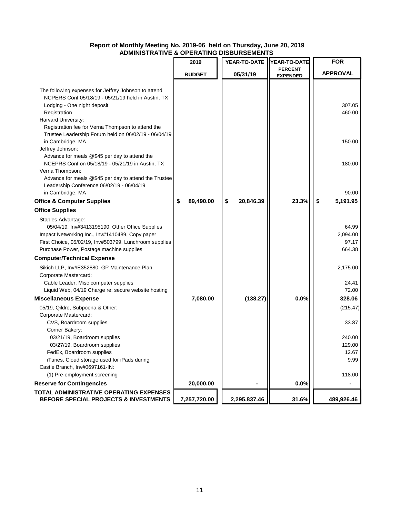|                                                                                                                                                                                                                                       | 2019            | YEAR-TO-DATE    | YEAR-TO-DATE    | <b>FOR</b>                           |
|---------------------------------------------------------------------------------------------------------------------------------------------------------------------------------------------------------------------------------------|-----------------|-----------------|-----------------|--------------------------------------|
|                                                                                                                                                                                                                                       |                 |                 | <b>PERCENT</b>  |                                      |
|                                                                                                                                                                                                                                       | <b>BUDGET</b>   | 05/31/19        | <b>EXPENDED</b> | <b>APPROVAL</b>                      |
| The following expenses for Jeffrey Johnson to attend<br>NCPERS Conf 05/18/19 - 05/21/19 held in Austin, TX<br>Lodging - One night deposit<br>Registration<br>Harvard University:<br>Registration fee for Verna Thompson to attend the |                 |                 |                 | 307.05<br>460.00                     |
| Trustee Leadership Forum held on 06/02/19 - 06/04/19<br>in Cambridge, MA<br>Jeffrey Johnson:                                                                                                                                          |                 |                 |                 | 150.00                               |
| Advance for meals @\$45 per day to attend the<br>NCEPRS Conf on 05/18/19 - 05/21/19 in Austin, TX<br>Verna Thompson:<br>Advance for meals @\$45 per day to attend the Trustee                                                         |                 |                 |                 | 180.00                               |
| Leadership Conference 06/02/19 - 06/04/19                                                                                                                                                                                             |                 |                 |                 |                                      |
| in Cambridge, MA                                                                                                                                                                                                                      |                 |                 |                 | 90.00                                |
| <b>Office &amp; Computer Supplies</b>                                                                                                                                                                                                 | \$<br>89,490.00 | \$<br>20,846.39 | 23.3%           | 5,191.95<br>\$                       |
| <b>Office Supplies</b>                                                                                                                                                                                                                |                 |                 |                 |                                      |
| Staples Advantage:<br>05/04/19, Inv#3413195190, Other Office Supplies<br>Impact Networking Inc., Inv#1410489, Copy paper<br>First Choice, 05/02/19, Inv#503799, Lunchroom supplies<br>Purchase Power, Postage machine supplies        |                 |                 |                 | 64.99<br>2,094.00<br>97.17<br>664.38 |
| <b>Computer/Technical Expense</b>                                                                                                                                                                                                     |                 |                 |                 |                                      |
| Sikich LLP, Inv#E352880, GP Maintenance Plan<br>Corporate Mastercard:<br>Cable Leader, Misc computer supplies                                                                                                                         |                 |                 |                 | 2,175.00<br>24.41                    |
| Liquid Web, 04/19 Charge re: secure website hosting                                                                                                                                                                                   |                 |                 |                 | 72.00                                |
| <b>Miscellaneous Expense</b>                                                                                                                                                                                                          | 7,080.00        | (138.27)        | 0.0%            | 328.06                               |
| 05/19, Qildro, Subpoena & Other:                                                                                                                                                                                                      |                 |                 |                 | (215.47)                             |
| Corporate Mastercard:<br>CVS, Boardroom supplies<br>Corner Bakery:                                                                                                                                                                    |                 |                 |                 | 33.87                                |
| 03/21/19, Boardroom supplies<br>03/27/19, Boardroom supplies                                                                                                                                                                          |                 |                 |                 | 240.00<br>129.00                     |
| FedEx, Boardroom supplies<br>iTunes, Cloud storage used for iPads during<br>Castle Branch, Inv#0697161-IN:                                                                                                                            |                 |                 |                 | 12.67<br>9.99                        |
| (1) Pre-employment screening                                                                                                                                                                                                          |                 |                 |                 | 118.00                               |
| <b>Reserve for Contingencies</b>                                                                                                                                                                                                      | 20,000.00       |                 | 0.0%            |                                      |
| TOTAL ADMINISTRATIVE OPERATING EXPENSES<br>BEFORE SPECIAL PROJECTS & INVESTMENTS                                                                                                                                                      | 7,257,720.00    | 2,295,837.46    | 31.6%           | 489,926.46                           |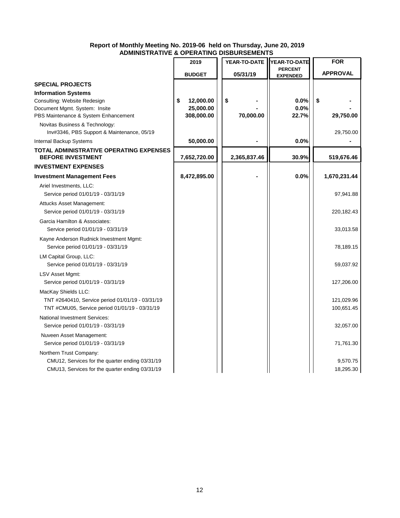|                                                                              | 2019                    | YEAR-TO-DATE | YEAR-TO-DATE                      | <b>FOR</b>      |
|------------------------------------------------------------------------------|-------------------------|--------------|-----------------------------------|-----------------|
|                                                                              | <b>BUDGET</b>           | 05/31/19     | <b>PERCENT</b><br><b>EXPENDED</b> | <b>APPROVAL</b> |
| <b>SPECIAL PROJECTS</b>                                                      |                         |              |                                   |                 |
| <b>Information Systems</b>                                                   |                         |              |                                   |                 |
| Consulting: Website Redesign                                                 | 12,000.00<br>\$         | \$           | 0.0%                              | \$              |
| Document Mgmt. System: Insite<br>PBS Maintenance & System Enhancement        | 25,000.00<br>308,000.00 | 70,000.00    | 0.0%<br>22.7%                     | 29,750.00       |
|                                                                              |                         |              |                                   |                 |
| Novitas Business & Technology:<br>Inv#3346, PBS Support & Maintenance, 05/19 |                         |              |                                   | 29,750.00       |
| Internal Backup Systems                                                      | 50,000.00               |              | 0.0%                              |                 |
| <b>TOTAL ADMINISTRATIVE OPERATING EXPENSES</b><br><b>BEFORE INVESTMENT</b>   | 7,652,720.00            | 2,365,837.46 | 30.9%                             | 519,676.46      |
| <b>INVESTMENT EXPENSES</b>                                                   |                         |              |                                   |                 |
| <b>Investment Management Fees</b>                                            | 8,472,895.00            |              | 0.0%                              | 1,670,231.44    |
| Ariel Investments, LLC:                                                      |                         |              |                                   |                 |
| Service period 01/01/19 - 03/31/19                                           |                         |              |                                   | 97,941.88       |
| Attucks Asset Management:                                                    |                         |              |                                   |                 |
| Service period 01/01/19 - 03/31/19                                           |                         |              |                                   | 220,182.43      |
| Garcia Hamilton & Associates:                                                |                         |              |                                   |                 |
| Service period 01/01/19 - 03/31/19                                           |                         |              |                                   | 33,013.58       |
| Kayne Anderson Rudnick Investment Mgmt:                                      |                         |              |                                   |                 |
| Service period 01/01/19 - 03/31/19                                           |                         |              |                                   | 78,189.15       |
| LM Capital Group, LLC:                                                       |                         |              |                                   |                 |
| Service period 01/01/19 - 03/31/19                                           |                         |              |                                   | 59,037.92       |
| LSV Asset Mgmt:                                                              |                         |              |                                   |                 |
| Service period 01/01/19 - 03/31/19                                           |                         |              |                                   | 127,206.00      |
| MacKay Shields LLC:                                                          |                         |              |                                   |                 |
| TNT #2640410, Service period 01/01/19 - 03/31/19                             |                         |              |                                   | 121,029.96      |
| TNT #CMU05, Service period 01/01/19 - 03/31/19                               |                         |              |                                   | 100,651.45      |
| National Investment Services:                                                |                         |              |                                   |                 |
| Service period 01/01/19 - 03/31/19                                           |                         |              |                                   | 32,057.00       |
| Nuveen Asset Management:                                                     |                         |              |                                   |                 |
| Service period 01/01/19 - 03/31/19                                           |                         |              |                                   | 71,761.30       |
| Northern Trust Company:                                                      |                         |              |                                   |                 |
| CMU12, Services for the quarter ending 03/31/19                              |                         |              |                                   | 9,570.75        |
| CMU13, Services for the quarter ending 03/31/19                              |                         |              |                                   | 18,295.30       |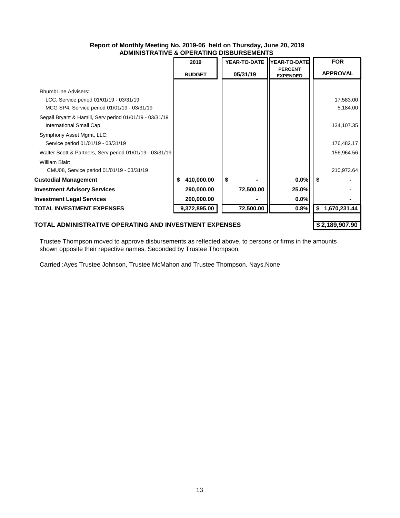|                                                                |   | 2019          |  |           | YEAR-TO-DATE YEAR-TO-DATE         |     | <b>FOR</b>      |
|----------------------------------------------------------------|---|---------------|--|-----------|-----------------------------------|-----|-----------------|
|                                                                |   | <b>BUDGET</b> |  | 05/31/19  | <b>PERCENT</b><br><b>EXPENDED</b> |     | <b>APPROVAL</b> |
|                                                                |   |               |  |           |                                   |     |                 |
| RhumbLine Advisers:<br>LCC, Service period 01/01/19 - 03/31/19 |   |               |  |           |                                   |     | 17,583.00       |
| MCG SP4, Service period 01/01/19 - 03/31/19                    |   |               |  |           |                                   |     | 5,184.00        |
| Segall Bryant & Hamill, Serv period 01/01/19 - 03/31/19        |   |               |  |           |                                   |     |                 |
| International Small Cap                                        |   |               |  |           |                                   |     | 134,107.35      |
| Symphony Asset Mgmt, LLC:                                      |   |               |  |           |                                   |     |                 |
| Service period 01/01/19 - 03/31/19                             |   |               |  |           |                                   |     | 176,482.17      |
| Walter Scott & Partners, Serv period 01/01/19 - 03/31/19       |   |               |  |           |                                   |     | 156,964.56      |
| William Blair:                                                 |   |               |  |           |                                   |     |                 |
| CMU08, Service period 01/01/19 - 03/31/19                      |   |               |  |           |                                   |     | 210,973.64      |
| <b>Custodial Management</b>                                    | S | 410,000.00    |  | \$        | 0.0%                              | -\$ |                 |
| <b>Investment Advisory Services</b>                            |   | 290,000.00    |  | 72,500.00 | 25.0%                             |     |                 |
| <b>Investment Legal Services</b>                               |   | 200,000.00    |  |           | 0.0%                              |     |                 |
| <b>TOTAL INVESTMENT EXPENSES</b>                               |   | 9,372,895.00  |  | 72,500.00 | 0.8%                              | \$  | 1,670,231.44    |
|                                                                |   |               |  |           |                                   |     |                 |
| TOTAL ADMINISTRATIVE OPERATING AND INVESTMENT EXPENSES         |   |               |  |           |                                   |     | \$2,189,907.90  |

Trustee Thompson moved to approve disbursements as reflected above, to persons or firms in the amounts shown opposite their repective names. Seconded by Trustee Thompson.

Carried :Ayes Trustee Johnson, Trustee McMahon and Trustee Thompson. Nays.None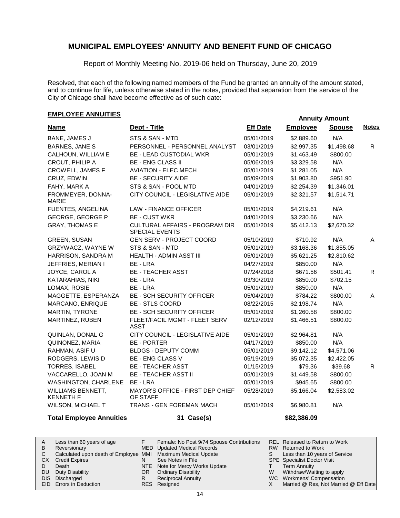Report of Monthly Meeting No. 2019-06 held on Thursday, June 20, 2019

Resolved, that each of the following named members of the Fund be granted an annuity of the amount stated, and to continue for life, unless otherwise stated in the notes, provided that separation from the service of the City of Chicago shall have become effective as of such date:

# **EMPLOYEE ANNUITIES**

| <b>Name</b>                           | Dept - Title                                            | <b>Eff Date</b> | <b>Employee</b> | <b>Spouse</b> | <b>Notes</b> |
|---------------------------------------|---------------------------------------------------------|-----------------|-----------------|---------------|--------------|
| BANE, JAMES J                         | STS & SAN - MTD                                         | 05/01/2019      | \$2,889.60      | N/A           |              |
| <b>BARNES, JANE S</b>                 | PERSONNEL - PERSONNEL ANALYST                           | 03/01/2019      | \$2,997.35      | \$1,498.68    | R.           |
| CALHOUN, WILLIAM E                    | <b>BE - LEAD CUSTODIAL WKR</b>                          | 05/01/2019      | \$1,463.49      | \$800.00      |              |
| CROUT, PHILIP A                       | <b>BE - ENG CLASS II</b>                                | 05/06/2019      | \$3,329.58      | N/A           |              |
| <b>CROWELL, JAMES F</b>               | <b>AVIATION - ELEC MECH</b>                             | 05/01/2019      | \$1,281.05      | N/A           |              |
| CRUZ, EDWIN                           | <b>BE - SECURITY AIDE</b>                               | 05/09/2019      | \$1,903.80      | \$951.90      |              |
| FAHY, MARK A                          | STS & SAN - POOL MTD                                    | 04/01/2019      | \$2,254.39      | \$1,346.01    |              |
| FROMMEYER, DONNA-<br><b>MARIE</b>     | CITY COUNCIL - LEGISLATIVE AIDE                         | 05/01/2019      | \$2,321.57      | \$1,514.71    |              |
| FUENTES, ANGELINA                     | <b>LAW - FINANCE OFFICER</b>                            | 05/01/2019      | \$4,219.61      | N/A           |              |
| <b>GEORGE, GEORGE P</b>               | <b>BE - CUST WKR</b>                                    | 04/01/2019      | \$3,230.66      | N/A           |              |
| <b>GRAY, THOMAS E</b>                 | CULTURAL AFFAIRS - PROGRAM DIR<br><b>SPECIAL EVENTS</b> | 05/01/2019      | \$5,412.13      | \$2,670.32    |              |
| <b>GREEN, SUSAN</b>                   | <b>GEN SERV - PROJECT COORD</b>                         | 05/10/2019      | \$710.92        | N/A           | $\mathsf{A}$ |
| GRZYWACZ, WAYNE W                     | STS & SAN - MTD                                         | 05/01/2019      | \$3,168.36      | \$1,855.05    |              |
| HARRISON, SANDRA M                    | HEALTH - ADMIN ASST III                                 | 05/01/2019      | \$5,621.25      | \$2,810.62    |              |
| JEFFRIES, MERIAN I                    | BE - LRA                                                | 04/27/2019      | \$850.00        | N/A           |              |
| JOYCE, CAROL A                        | <b>BE - TEACHER ASST</b>                                | 07/24/2018      | \$671.56        | \$501.41      | R.           |
| KATARAHIAS, NIKI                      | BE - LRA                                                | 03/30/2019      | \$850.00        | \$702.15      |              |
| LOMAX, ROSIE                          | BE - LRA                                                | 05/01/2019      | \$850.00        | N/A           |              |
| MAGGETTE, ESPERANZA                   | <b>BE - SCH SECURITY OFFICER</b>                        | 05/04/2019      | \$784.22        | \$800.00      | A            |
| MARCANO, ENRIQUE                      | <b>BE - STLS COORD</b>                                  | 08/22/2015      | \$2,198.74      | N/A           |              |
| MARTIN, TYRONE                        | <b>BE - SCH SECURITY OFFICER</b>                        | 05/01/2019      | \$1,260.58      | \$800.00      |              |
| MARTINEZ, RUBEN                       | FLEET/FACIL MGMT - FLEET SERV<br><b>ASST</b>            | 02/12/2019      | \$1,466.51      | \$800.00      |              |
| QUINLAN, DONAL G                      | CITY COUNCIL - LEGISLATIVE AIDE                         | 05/01/2019      | \$2,964.81      | N/A           |              |
| QUINONEZ, MARIA                       | <b>BE - PORTER</b>                                      | 04/17/2019      | \$850.00        | N/A           |              |
| RAHMAN, ASIF U                        | <b>BLDGS - DEPUTY COMM</b>                              | 05/01/2019      | \$9,142.12      | \$4,571.06    |              |
| RODGERS, LEWIS D                      | BE - ENG CLASS V                                        | 05/19/2019      | \$5,072.35      | \$2,422.05    |              |
| <b>TORRES, ISABEL</b>                 | <b>BE - TEACHER ASST</b>                                | 01/15/2019      | \$79.36         | \$39.68       | R.           |
| VACCARELLO, JOAN M                    | <b>BE - TEACHER ASST II</b>                             | 05/01/2019      | \$1,449.58      | \$800.00      |              |
| WASHINGTON, CHARLENE                  | BE - LRA                                                | 05/01/2019      | \$945.65        | \$800.00      |              |
| WILLIAMS BENNETT,<br><b>KENNETH F</b> | MAYOR'S OFFICE - FIRST DEP CHIEF<br>OF STAFF            | 05/28/2019      | \$5,166.04      | \$2,583.02    |              |
| WILSON, MICHAEL T                     | <b>TRANS - GEN FOREMAN MACH</b>                         | 05/01/2019      | \$6,980.81      | N/A           |              |
| <b>Total Employee Annuities</b>       | 31 Case(s)                                              |                 | \$82,386.09     |               |              |

|     | Less than 60 years of age                                    |     | Female: No Post 9/74 Spouse Contributions |   | <b>REL Released to Return to Work</b> |
|-----|--------------------------------------------------------------|-----|-------------------------------------------|---|---------------------------------------|
| B   | Reversionary                                                 |     | MED Updated Medical Records               |   | RW Returned to Work                   |
|     | Calculated upon death of Employee MMI Maximum Medical Update |     |                                           |   | Less than 10 years of Service         |
| CX. | <b>Credit Expires</b>                                        |     | See Notes in File                         |   | <b>SPE</b> Specialist Doctor Visit    |
|     | Death                                                        |     | NTE Note for Mercy Works Update           |   | <b>Term Annuity</b>                   |
| DU. | Duty Disability                                              | OR. | <b>Ordinary Disability</b>                | W | Withdraw/Waiting to apply             |
|     | DIS Discharged                                               |     | <b>Reciprocal Annuity</b>                 |   | WC Workmens' Compensation             |
|     | <b>EID</b> Errors in Deduction                               |     | RES Resigned                              |   | Married @ Res, Not Married @ Eff Date |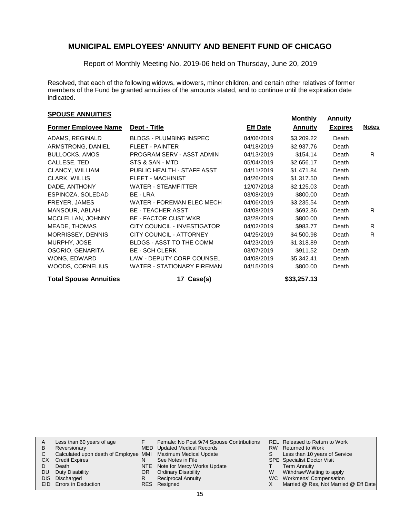Report of Monthly Meeting No. 2019-06 held on Thursday, June 20, 2019

Resolved, that each of the following widows, widowers, minor children, and certain other relatives of former members of the Fund be granted annuities of the amounts stated, and to continue until the expiration date indicated.

# **Monthly Annuities Monthly Annuity Monthly Annuity**

| <b>Former Employee Name</b>   | Dept - Title                      | <b>Eff Date</b> | <b>Annuity</b> | <b>Expires</b> | <b>Notes</b> |  |
|-------------------------------|-----------------------------------|-----------------|----------------|----------------|--------------|--|
| ADAMS, REGINALD               | <b>BLDGS - PLUMBING INSPEC</b>    | 04/06/2019      | \$3,209.22     | Death          |              |  |
| ARMSTRONG, DANIEL             | <b>FLEET - PAINTER</b>            | 04/18/2019      | \$2,937.76     | Death          |              |  |
| <b>BULLOCKS, AMOS</b>         | PROGRAM SERV - ASST ADMIN         | 04/13/2019      | \$154.14       | Death          | R.           |  |
| CALLESE, TED                  | STS & SAN - MTD                   | 05/04/2019      | \$2,656.17     | Death          |              |  |
| CLANCY, WILLIAM               | PUBLIC HEALTH - STAFF ASST        | 04/11/2019      | \$1,471.84     | Death          |              |  |
| CLARK, WILLIS                 | <b>FLEET - MACHINIST</b>          | 04/26/2019      | \$1,317.50     | Death          |              |  |
| DADE, ANTHONY                 | <b>WATER - STEAMFITTER</b>        | 12/07/2018      | \$2,125.03     | Death          |              |  |
| ESPINOZA, SOLEDAD             | BE - LRA                          | 03/08/2019      | \$800.00       | Death          |              |  |
| FREYER, JAMES                 | WATER - FOREMAN ELEC MECH         | 04/06/2019      | \$3,235.54     | Death          |              |  |
| MANSOUR, ABLAH                | <b>BE - TEACHER ASST</b>          | 04/08/2019      | \$692.36       | Death          | R.           |  |
| MCCLELLAN, JOHNNY             | <b>BE - FACTOR CUST WKR</b>       | 03/28/2019      | \$800.00       | Death          |              |  |
| MEADE, THOMAS                 | CITY COUNCIL - INVESTIGATOR       | 04/02/2019      | \$983.77       | Death          | R.           |  |
| MORRISSEY, DENNIS             | <b>CITY COUNCIL - ATTORNEY</b>    | 04/25/2019      | \$4,500.98     | Death          | R            |  |
| MURPHY, JOSE                  | <b>BLDGS - ASST TO THE COMM</b>   | 04/23/2019      | \$1,318.89     | Death          |              |  |
| OSORIO, GENARITA              | <b>BE - SCH CLERK</b>             | 03/07/2019      | \$911.52       | Death          |              |  |
| WONG, EDWARD                  | <b>LAW - DEPUTY CORP COUNSEL</b>  | 04/08/2019      | \$5,342.41     | Death          |              |  |
| WOODS, CORNELIUS              | <b>WATER - STATIONARY FIREMAN</b> | 04/15/2019      | \$800.00       | Death          |              |  |
| <b>Total Spouse Annuities</b> | 17 Case(s)                        |                 | \$33,257.13    |                |              |  |

|      | Less than 60 years of age                                    |    | Female: No Post 9/74 Spouse Contributions |   | REL Released to Return to Work        |
|------|--------------------------------------------------------------|----|-------------------------------------------|---|---------------------------------------|
|      |                                                              |    |                                           |   |                                       |
| в    | Reversionary                                                 |    | MED Updated Medical Records               |   | RW Returned to Work                   |
| C.   | Calculated upon death of Employee MMI Maximum Medical Update |    |                                           |   | Less than 10 years of Service         |
| CХ   | <b>Credit Expires</b>                                        | N  | See Notes in File                         |   | <b>SPE</b> Specialist Doctor Visit    |
|      | Death                                                        |    | NTE Note for Mercy Works Update           |   | <b>Term Annuity</b>                   |
| DU   | Duty Disability                                              | OR | <b>Ordinary Disability</b>                | W | Withdraw/Waiting to apply             |
| DIS. | Discharged                                                   |    | <b>Reciprocal Annuity</b>                 |   | WC Workmens' Compensation             |
|      | <b>EID</b> Errors in Deduction                               |    | RES Resigned                              |   | Married @ Res, Not Married @ Eff Date |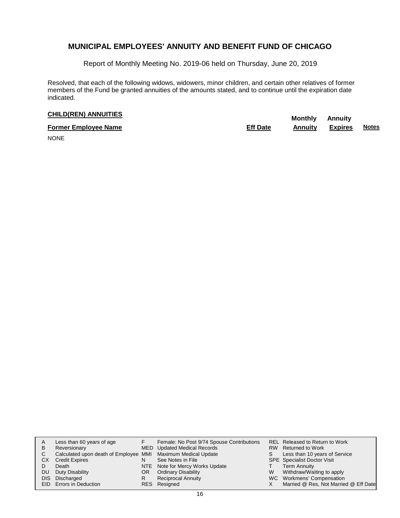Report of Monthly Meeting No. 2019-06 held on Thursday, June 20, 2019

Resolved, that each of the following widows, widowers, minor children, and certain other relatives of former members of the Fund be granted annuities of the amounts stated, and to continue until the expiration date indicated.

# **CHILD(REN) ANNUITIES Monthly** Annuity

| <b>Former Employee Name</b> | <b>Eff Date</b> | Annuitv | Expires | <b>Notes</b> |
|-----------------------------|-----------------|---------|---------|--------------|
| $\cdots$                    |                 |         |         |              |

NONE

| A  | Less than 60 years of age                                    |    | Female: No Post 9/74 Spouse Contributions |   | REL Released to Return to Work        |
|----|--------------------------------------------------------------|----|-------------------------------------------|---|---------------------------------------|
| в  | Reversionary                                                 |    | MED Updated Medical Records               |   | RW Returned to Work                   |
| С  | Calculated upon death of Employee MMI Maximum Medical Update |    |                                           |   | Less than 10 years of Service         |
| CХ | <b>Credit Expires</b>                                        | N  | See Notes in File                         |   | <b>SPE</b> Specialist Doctor Visit    |
|    | Death                                                        |    | NTE Note for Mercy Works Update           |   | <b>Term Annuity</b>                   |
| DU | Duty Disability                                              | OR | <b>Ordinary Disability</b>                | W | Withdraw/Waiting to apply             |
|    | DIS Discharged                                               | R  | <b>Reciprocal Annuity</b>                 |   | WC Workmens' Compensation             |
|    | EID Errors in Deduction                                      |    | RES Resigned                              |   | Married @ Res, Not Married @ Eff Date |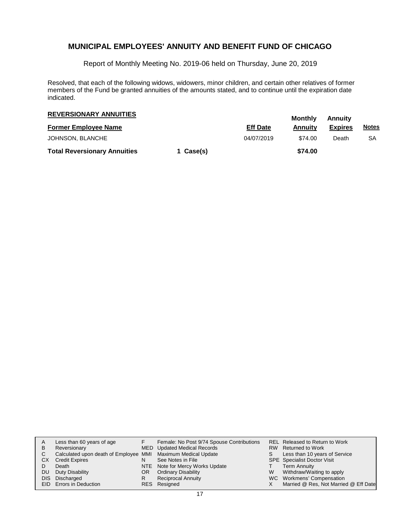Report of Monthly Meeting No. 2019-06 held on Thursday, June 20, 2019

Resolved, that each of the following widows, widowers, minor children, and certain other relatives of former members of the Fund be granted annuities of the amounts stated, and to continue until the expiration date indicated.

| <b>REVERSIONARY ANNUITIES</b>       |           | Monthly         | Annuitv |                |              |
|-------------------------------------|-----------|-----------------|---------|----------------|--------------|
| <b>Former Employee Name</b>         |           | <b>Eff Date</b> | Annuitv | <b>Expires</b> | <u>Notes</u> |
| JOHNSON, BLANCHE                    |           | 04/07/2019      | \$74.00 | Death          | SA           |
| <b>Total Reversionary Annuities</b> | 1 Case(s) |                 | \$74.00 |                |              |

| A<br>B    | Less than 60 years of age<br>Reversionary<br>Calculated upon death of Employee MMI Maximum Medical Update |     | Female: No Post 9/74 Spouse Contributions<br>MED Updated Medical Records |   | <b>REL Released to Return to Work</b><br>RW Returned to Work<br>Less than 10 years of Service |
|-----------|-----------------------------------------------------------------------------------------------------------|-----|--------------------------------------------------------------------------|---|-----------------------------------------------------------------------------------------------|
| <b>CX</b> | <b>Credit Expires</b>                                                                                     |     | See Notes in File                                                        |   | <b>SPE</b> Specialist Doctor Visit                                                            |
|           | Death                                                                                                     |     | NTE Note for Mercy Works Update                                          |   | <b>Term Annuity</b>                                                                           |
| DU.       | Duty Disability                                                                                           | OR. | <b>Ordinary Disability</b>                                               | W | Withdraw/Waiting to apply                                                                     |
|           | DIS Discharged                                                                                            |     | <b>Reciprocal Annuity</b>                                                |   | WC Workmens' Compensation                                                                     |
|           | <b>EID</b> Errors in Deduction                                                                            |     | RES Resigned                                                             |   | Married @ Res, Not Married @ Eff Date                                                         |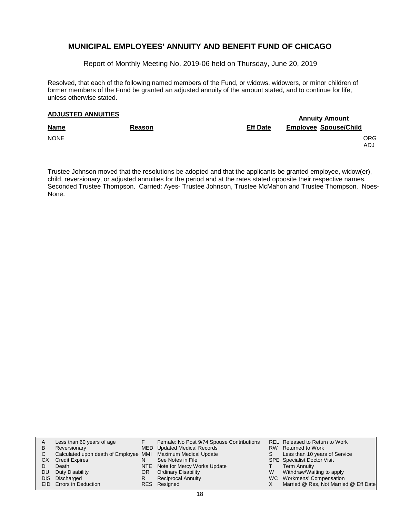Report of Monthly Meeting No. 2019-06 held on Thursday, June 20, 2019

Resolved, that each of the following named members of the Fund, or widows, widowers, or minor children of former members of the Fund be granted an adjusted annuity of the amount stated, and to continue for life, unless otherwise stated.

# **Annuity Amount ADJUSTED ANNUITIES**

| <b>Name</b> | <b>Reason</b> | <b>Eff Date</b> | <b>Employee Spouse/Child</b> |  |  |
|-------------|---------------|-----------------|------------------------------|--|--|
| <b>NONE</b> |               |                 | ORG<br>ADJ                   |  |  |

Trustee Johnson moved that the resolutions be adopted and that the applicants be granted employee, widow(er), child, reversionary, or adjusted annuities for the period and at the rates stated opposite their respective names. Seconded Trustee Thompson. Carried: Ayes- Trustee Johnson, Trustee McMahon and Trustee Thompson. Noes-None.

| A         | Less than 60 years of age                                    |     | Female: No Post 9/74 Spouse Contributions |   | <b>REL Released to Return to Work</b> |
|-----------|--------------------------------------------------------------|-----|-------------------------------------------|---|---------------------------------------|
| B         | Reversionary                                                 |     | MED Updated Medical Records               |   | RW Returned to Work                   |
| C.        | Calculated upon death of Employee MMI Maximum Medical Update |     |                                           |   | Less than 10 years of Service         |
| <b>CX</b> | <b>Credit Expires</b>                                        | N   | See Notes in File                         |   | <b>SPE</b> Specialist Doctor Visit    |
|           | Death                                                        |     | NTE Note for Mercy Works Update           |   | Term Annuity                          |
| DU.       | Duty Disability                                              | OR. | <b>Ordinary Disability</b>                | W | Withdraw/Waiting to apply             |
|           | DIS Discharged                                               |     | <b>Reciprocal Annuity</b>                 |   | WC Workmens' Compensation             |
|           | <b>EID</b> Errors in Deduction                               |     | RES Resigned                              |   | Married @ Res, Not Married @ Eff Date |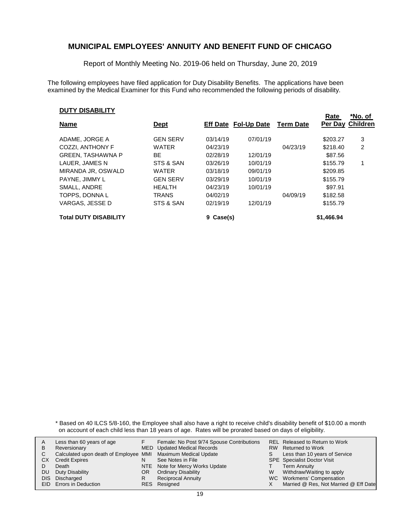Report of Monthly Meeting No. 2019-06 held on Thursday, June 20, 2019

The following employees have filed application for Duty Disability Benefits. The applications have been examined by the Medical Examiner for this Fund who recommended the following periods of disability.

#### **DUTY DISABILITY**

| <b>Name</b>                  | <u>Dept</u>     |               | <b>Eff Date Fol-Up Date</b> | <b>Term Date</b> | <b>Rate</b> | NO. OI<br><b>Per Day Children</b> |
|------------------------------|-----------------|---------------|-----------------------------|------------------|-------------|-----------------------------------|
|                              |                 |               |                             |                  |             |                                   |
| ADAME, JORGE A               | <b>GEN SERV</b> | 03/14/19      | 07/01/19                    |                  | \$203.27    | 3                                 |
| COZZI, ANTHONY F             | <b>WATER</b>    | 04/23/19      |                             | 04/23/19         | \$218.40    | 2                                 |
| <b>GREEN, TASHAWNA P</b>     | BE              | 02/28/19      | 12/01/19                    |                  | \$87.56     |                                   |
| LAUER, JAMES N               | STS & SAN       | 03/26/19      | 10/01/19                    |                  | \$155.79    |                                   |
| MIRANDA JR. OSWALD           | <b>WATER</b>    | 03/18/19      | 09/01/19                    |                  | \$209.85    |                                   |
| PAYNE, JIMMY L               | <b>GEN SERV</b> | 03/29/19      | 10/01/19                    |                  | \$155.79    |                                   |
| SMALL, ANDRE                 | <b>HEALTH</b>   | 04/23/19      | 10/01/19                    |                  | \$97.91     |                                   |
| TOPPS, DONNA L               | <b>TRANS</b>    | 04/02/19      |                             | 04/09/19         | \$182.58    |                                   |
| VARGAS. JESSE D              | STS & SAN       | 02/19/19      | 12/01/19                    |                  | \$155.79    |                                   |
| <b>Total DUTY DISABILITY</b> |                 | Case(s)<br>9. |                             |                  | \$1,466.94  |                                   |

**Rate**

**\*No. of**

\* Based on 40 ILCS 5/8-160, the Employee shall also have a right to receive child's disability benefit of \$10.00 a month on account of each child less than 18 years of age. Rates will be prorated based on days of eligibility.

| В  | Less than 60 years of age<br>Reversionary                    |     | Female: No Post 9/74 Spouse Contributions<br><b>MED</b> Updated Medical Records |   | REL Released to Return to Work<br>RW Returned to Work |
|----|--------------------------------------------------------------|-----|---------------------------------------------------------------------------------|---|-------------------------------------------------------|
|    | Calculated upon death of Employee MMI Maximum Medical Update |     |                                                                                 |   | Less than 10 years of Service                         |
| CХ | <b>Credit Expires</b>                                        |     | See Notes in File                                                               |   | <b>SPE</b> Specialist Doctor Visit                    |
|    | Death                                                        |     | NTE Note for Mercy Works Update                                                 |   | Term Annuity                                          |
| DU | Duty Disability                                              | OR. | <b>Ordinary Disability</b>                                                      | W | Withdraw/Waiting to apply                             |
|    | DIS Discharged                                               |     | <b>Reciprocal Annuity</b>                                                       |   | WC Workmens' Compensation                             |
|    | <b>EID</b> Errors in Deduction                               |     | RES Resigned                                                                    |   | Married @ Res, Not Married @ Eff Date                 |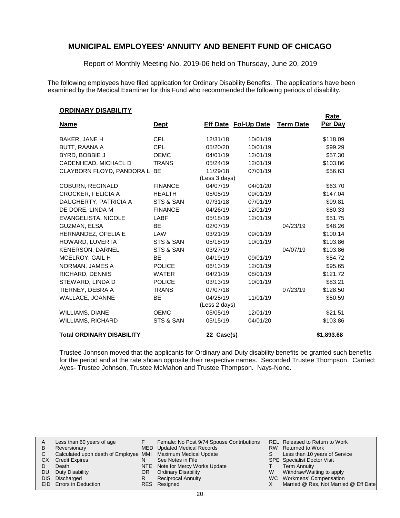Report of Monthly Meeting No. 2019-06 held on Thursday, June 20, 2019

The following employees have filed application for Ordinary Disability Benefits. The applications have been examined by the Medical Examiner for this Fund who recommended the following periods of disability.

#### **ORDINARY DISABILITY**

| - - - - - - -                    |                |                           |                             |                  | <b>Rate</b> |
|----------------------------------|----------------|---------------------------|-----------------------------|------------------|-------------|
| <b>Name</b>                      | <u>Dept</u>    |                           | <b>Eff Date Fol-Up Date</b> | <b>Term Date</b> | Per Day     |
| BAKER, JANE H                    | <b>CPL</b>     | 12/31/18                  | 10/01/19                    |                  | \$118.09    |
| <b>BUTT, RAANA A</b>             | <b>CPL</b>     | 05/20/20                  | 10/01/19                    |                  | \$99.29     |
| BYRD, BOBBIE J                   | <b>OEMC</b>    | 04/01/19                  | 12/01/19                    |                  | \$57.30     |
| CADENHEAD, MICHAEL D             | <b>TRANS</b>   | 05/24/19                  | 12/01/19                    |                  | \$103.86    |
| CLAYBORN FLOYD, PANDORA L BE     |                | 11/29/18<br>(Less 3 days) | 07/01/19                    |                  | \$56.63     |
| <b>COBURN, REGINALD</b>          | <b>FINANCE</b> | 04/07/19                  | 04/01/20                    |                  | \$63.70     |
| <b>CROCKER, FELICIA A</b>        | <b>HEALTH</b>  | 05/05/19                  | 09/01/19                    |                  | \$147.04    |
| DAUGHERTY, PATRICIA A            | STS & SAN      | 07/31/18                  | 07/01/19                    |                  | \$99.81     |
| DE DORE, LINDA M                 | <b>FINANCE</b> | 04/26/19                  | 12/01/19                    |                  | \$80.33     |
| EVANGELISTA, NICOLE              | LABF           | 05/18/19                  | 12/01/19                    |                  | \$51.75     |
| GUZMAN, ELSA                     | <b>BE</b>      | 02/07/19                  |                             | 04/23/19         | \$48.26     |
| HERNANDEZ, OFELIA E              | LAW            | 03/21/19                  | 09/01/19                    |                  | \$100.14    |
| HOWARD, LUVERTA                  | STS & SAN      | 05/18/19                  | 10/01/19                    |                  | \$103.86    |
| <b>KENERSON, DARNEL</b>          | STS & SAN      | 03/27/19                  |                             | 04/07/19         | \$103.86    |
| MCELROY, GAIL H                  | BE             | 04/19/19                  | 09/01/19                    |                  | \$54.72     |
| NORMAN, JAMES A                  | <b>POLICE</b>  | 06/13/19                  | 12/01/19                    |                  | \$95.65     |
| RICHARD, DENNIS                  | <b>WATER</b>   | 04/21/19                  | 08/01/19                    |                  | \$121.72    |
| STEWARD, LINDA D                 | <b>POLICE</b>  | 03/13/19                  | 10/01/19                    |                  | \$83.21     |
| TIERNEY, DEBRA A                 | <b>TRANS</b>   | 07/07/18                  |                             | 07/23/19         | \$128.50    |
| WALLACE, JOANNE                  | <b>BE</b>      | 04/25/19                  | 11/01/19                    |                  | \$50.59     |
|                                  |                | (Less 2 days)             |                             |                  |             |
| <b>WILLIAMS, DIANE</b>           | <b>OEMC</b>    | 05/05/19                  | 12/01/19                    |                  | \$21.51     |
| WILLIAMS, RICHARD                | STS & SAN      | 05/15/19                  | 04/01/20                    |                  | \$103.86    |
| <b>Total ORDINARY DISABILITY</b> |                | 22 Case(s)                |                             |                  | \$1,893.68  |

Trustee Johnson moved that the applicants for Ordinary and Duty disability benefits be granted such benefits for the period and at the rate shown opposite their respective names. Seconded Trustee Thompson. Carried: Ayes- Trustee Johnson, Trustee McMahon and Trustee Thompson. Nays-None.

|     | Less than 60 years of age                                    |     | Female: No Post 9/74 Spouse Contributions |   | REL Released to Return to Work        |
|-----|--------------------------------------------------------------|-----|-------------------------------------------|---|---------------------------------------|
| В   | Reversionary                                                 |     | MED Updated Medical Records               |   | RW Returned to Work                   |
|     | Calculated upon death of Employee MMI Maximum Medical Update |     |                                           |   | Less than 10 years of Service         |
| CХ  | <b>Credit Expires</b>                                        |     | See Notes in File                         |   | <b>SPE</b> Specialist Doctor Visit    |
|     | Death                                                        |     | NTE Note for Mercy Works Update           |   | Term Annuity                          |
| DU. | Duty Disability                                              | OR. | <b>Ordinary Disability</b>                | w | Withdraw/Waiting to apply             |
|     | DIS Discharged                                               |     | <b>Reciprocal Annuity</b>                 |   | WC Workmens' Compensation             |
|     | <b>EID</b> Errors in Deduction                               |     | RES Resigned                              |   | Married @ Res, Not Married @ Eff Date |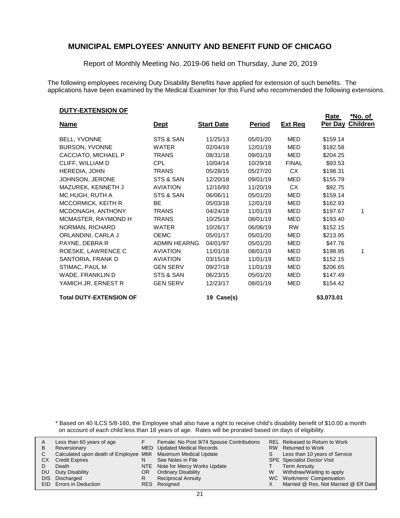Report of Monthly Meeting No. 2019-06 held on Thursday, June 20, 2019

The following employees receiving Duty Disability Benefits have applied for extension of such benefits. The applications have been examined by the Medical Examiner for this Fund who recommended the following extensions.

#### **DUTY-EXTENSION OF**

|                                |                     |                   |               |                | <u>Rate</u> | <u>*No. of</u>  |
|--------------------------------|---------------------|-------------------|---------------|----------------|-------------|-----------------|
| <u>Name</u>                    | <u>Dept</u>         | <b>Start Date</b> | <b>Period</b> | <b>Ext Reg</b> | Per Day     | <b>Children</b> |
| <b>BELL, YVONNE</b>            | STS & SAN           | 11/25/13          | 05/01/20      | MED            | \$159.14    |                 |
| <b>BURSON, YVONNE</b>          | <b>WATER</b>        | 02/04/19          | 12/01/19      | MED            | \$182.58    |                 |
| CACCIATO, MICHAEL P            | TRANS               | 08/31/18          | 09/01/19      | MED            | \$204.25    |                 |
| CLIFF, WILLIAM D               | CPL.                | 10/04/14          | 10/29/18      | <b>FINAL</b>   | \$93.53     |                 |
| HEREDIA, JOHN                  | TRANS               | 05/28/15          | 05/27/20      | CX             | \$198.31    |                 |
| JOHNSON, JERONE                | STS & SAN           | 12/20/18          | 09/01/19      | MED            | \$155.79    |                 |
| MAZUREK, KENNETH J             | <b>AVIATION</b>     | 12/16/93          | 11/20/19      | <b>CX</b>      | \$92.75     |                 |
| MC HUGH, RUTH A                | STS & SAN           | 06/06/11          | 05/01/20      | <b>MED</b>     | \$159.14    |                 |
| MCCORMICK, KEITH R             | <b>BE</b>           | 05/03/18          | 12/01/19      | MED            | \$162.93    |                 |
| MCDONAGH, ANTHONY              | <b>TRANS</b>        | 04/24/18          | 11/01/19      | MED            | \$197.67    | 1               |
| MCMASTER, RAYMOND H            | TRANS               | 10/25/18          | 08/01/19      | MED            | \$193.40    |                 |
| NORMAN, RICHARD                | WATER               | 10/26/17          | 06/06/19      | <b>RW</b>      | \$152.15    |                 |
| ORLANDINI, CARLA J             | <b>OEMC</b>         | 05/01/17          | 05/01/20      | MED            | \$213.95    |                 |
| PAYNE, DEBRA R                 | <b>ADMIN HEARNG</b> | 04/01/97          | 05/01/20      | MED            | \$47.76     |                 |
| ROESKE, LAWRENCE C             | <b>AVIATION</b>     | 11/01/18          | 08/01/19      | MED            | \$198.95    | 1               |
| SANTORIA, FRANK D              | <b>AVIATION</b>     | 03/15/18          | 11/01/19      | MED            | \$152.15    |                 |
| STIMAC, PAUL M                 | <b>GEN SERV</b>     | 09/27/18          | 11/01/19      | MED            | \$206.65    |                 |
| WADE, FRANKLIN D               | STS & SAN           | 06/23/15          | 05/01/20      | MED            | \$147.49    |                 |
| YAMICH JR, ERNEST R            | <b>GEN SERV</b>     | 12/23/17          | 08/01/19      | MED            | \$154.42    |                 |
| <b>Total DUTY-EXTENSION OF</b> |                     | 19 Case(s)        |               |                | \$3,073.01  |                 |

\* Based on 40 ILCS 5/8-160, the Employee shall also have a right to receive child's disability benefit of \$10.00 a month on account of each child less than 18 years of age. Rates will be prorated based on days of eligibility.

| В  | Less than 60 years of age<br>Reversionary                    |     | Female: No Post 9/74 Spouse Contributions<br><b>MED</b> Updated Medical Records |   | REL Released to Return to Work<br>RW Returned to Work |
|----|--------------------------------------------------------------|-----|---------------------------------------------------------------------------------|---|-------------------------------------------------------|
|    | Calculated upon death of Employee MMI Maximum Medical Update |     |                                                                                 |   | Less than 10 years of Service                         |
| CХ | <b>Credit Expires</b>                                        |     | See Notes in File                                                               |   | <b>SPE</b> Specialist Doctor Visit                    |
|    | Death                                                        |     | NTE Note for Mercy Works Update                                                 |   | Term Annuity                                          |
| DU | Duty Disability                                              | OR. | <b>Ordinary Disability</b>                                                      | W | Withdraw/Waiting to apply                             |
|    | DIS Discharged                                               |     | <b>Reciprocal Annuity</b>                                                       |   | WC Workmens' Compensation                             |
|    | <b>EID</b> Errors in Deduction                               |     | RES Resigned                                                                    |   | Married @ Res, Not Married @ Eff Date                 |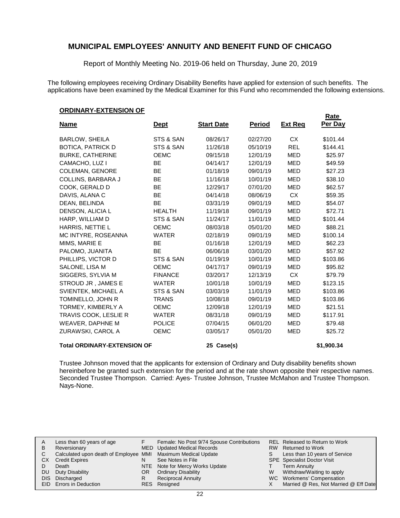Report of Monthly Meeting No. 2019-06 held on Thursday, June 20, 2019

The following employees receiving Ordinary Disability Benefits have applied for extension of such benefits. The applications have been examined by the Medical Examiner for this Fund who recommended the following extensions.

#### **ORDINARY-EXTENSION OF**

| -------                            |                |                   |               |                | <u>Rate</u> |
|------------------------------------|----------------|-------------------|---------------|----------------|-------------|
| <u>Name</u>                        | <b>Dept</b>    | <b>Start Date</b> | <u>Period</u> | <u>Ext Req</u> | Per Day     |
| <b>BARLOW, SHEILA</b>              | STS & SAN      | 08/26/17          | 02/27/20      | <b>CX</b>      | \$101.44    |
| <b>BOTICA, PATRICK D</b>           | STS & SAN      | 11/26/18          | 05/10/19      | <b>REL</b>     | \$144.41    |
| <b>BURKE, CATHERINE</b>            | <b>OEMC</b>    | 09/15/18          | 12/01/19      | <b>MED</b>     | \$25.97     |
| CAMACHO, LUZ I                     | <b>BE</b>      | 04/14/17          | 12/01/19      | <b>MED</b>     | \$49.59     |
| <b>COLEMAN, GENORE</b>             | <b>BE</b>      | 01/18/19          | 09/01/19      | <b>MED</b>     | \$27.23     |
| COLLINS, BARBARA J                 | <b>BE</b>      | 11/16/18          | 10/01/19      | <b>MED</b>     | \$38.10     |
| COOK, GERALD D                     | BE             | 12/29/17          | 07/01/20      | <b>MED</b>     | \$62.57     |
| DAVIS, ALANA C                     | <b>BE</b>      | 04/14/18          | 08/06/19      | <b>CX</b>      | \$59.35     |
| DEAN, BELINDA                      | <b>BE</b>      | 03/31/19          | 09/01/19      | <b>MED</b>     | \$54.07     |
| DENSON, ALICIA L                   | <b>HEALTH</b>  | 11/19/18          | 09/01/19      | <b>MED</b>     | \$72.71     |
| HARP, WILLIAM D                    | STS & SAN      | 11/24/17          | 11/01/19      | <b>MED</b>     | \$101.44    |
| HARRIS, NETTIE L                   | <b>OEMC</b>    | 08/03/18          | 05/01/20      | <b>MED</b>     | \$88.21     |
| MC INTYRE, ROSEANNA                | <b>WATER</b>   | 02/18/19          | 09/01/19      | <b>MED</b>     | \$100.14    |
| MIMS, MARIE E                      | <b>BE</b>      | 01/16/18          | 12/01/19      | <b>MED</b>     | \$62.23     |
| PALOMO, JUANITA                    | <b>BE</b>      | 06/06/18          | 03/01/20      | <b>MED</b>     | \$57.92     |
| PHILLIPS, VICTOR D                 | STS & SAN      | 01/19/19          | 10/01/19      | <b>MED</b>     | \$103.86    |
| SALONE, LISA M                     | <b>OEMC</b>    | 04/17/17          | 09/01/19      | <b>MED</b>     | \$95.82     |
| SIGGERS, SYLVIA M                  | <b>FINANCE</b> | 03/20/17          | 12/13/19      | <b>CX</b>      | \$79.79     |
| STROUD JR, JAMES E                 | <b>WATER</b>   | 10/01/18          | 10/01/19      | <b>MED</b>     | \$123.15    |
| SVIENTEK, MICHAEL A                | STS & SAN      | 03/03/19          | 11/01/19      | <b>MED</b>     | \$103.86    |
| TOMINELLO, JOHN R                  | <b>TRANS</b>   | 10/08/18          | 09/01/19      | MED            | \$103.86    |
| TORMEY, KIMBERLY A                 | <b>OEMC</b>    | 12/09/18          | 12/01/19      | <b>MED</b>     | \$21.51     |
| TRAVIS COOK, LESLIE R              | <b>WATER</b>   | 08/31/18          | 09/01/19      | <b>MED</b>     | \$117.91    |
| <b>WEAVER, DAPHNE M</b>            | <b>POLICE</b>  | 07/04/15          | 06/01/20      | <b>MED</b>     | \$79.48     |
| ZURAWSKI, CAROL A                  | <b>OEMC</b>    | 03/05/17          | 05/01/20      | <b>MED</b>     | \$25.72     |
| <b>Total ORDINARY-EXTENSION OF</b> |                | 25 Case(s)        |               |                | \$1,900.34  |

Trustee Johnson moved that the applicants for extension of Ordinary and Duty disability benefits shown hereinbefore be granted such extension for the period and at the rate shown opposite their respective names. Seconded Trustee Thompson. Carried: Ayes- Trustee Johnson, Trustee McMahon and Trustee Thompson. Nays-None.

|    | Less than 60 years of age                                    |    | Female: No Post 9/74 Spouse Contributions |   | <b>REL Released to Return to Work</b> |
|----|--------------------------------------------------------------|----|-------------------------------------------|---|---------------------------------------|
| В  | Reversionary                                                 |    | MED Updated Medical Records               |   | RW Returned to Work                   |
|    | Calculated upon death of Employee MMI Maximum Medical Update |    |                                           |   | Less than 10 years of Service         |
| СX | <b>Credit Expires</b>                                        |    | See Notes in File                         |   | <b>SPE</b> Specialist Doctor Visit    |
|    | Death                                                        |    | NTE Note for Mercy Works Update           |   | <b>Term Annuity</b>                   |
| DU | Duty Disability                                              | OR | <b>Ordinary Disability</b>                | w | Withdraw/Waiting to apply             |
|    | DIS Discharged                                               |    | <b>Reciprocal Annuity</b>                 |   | WC Workmens' Compensation             |
|    | <b>EID</b> Errors in Deduction                               |    | RES Resigned                              |   | Married @ Res, Not Married @ Eff Date |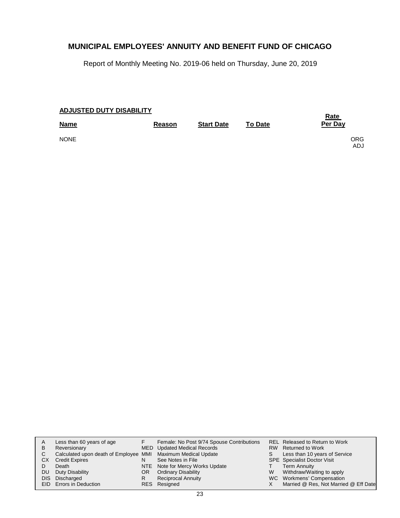Report of Monthly Meeting No. 2019-06 held on Thursday, June 20, 2019

| <b>ADJUSTED DUTY DISABILITY</b> | <u>Rate</u>   |                   |                |                    |
|---------------------------------|---------------|-------------------|----------------|--------------------|
| <b>Name</b>                     | <b>Reason</b> | <b>Start Date</b> | <b>To Date</b> | Per Day            |
| <b>NONE</b>                     |               |                   |                | ORG.<br><b>ADJ</b> |

| A   | Less than 60 years of age                                    |     | Female: No Post 9/74 Spouse Contributions |   | <b>REL Released to Return to Work</b> |
|-----|--------------------------------------------------------------|-----|-------------------------------------------|---|---------------------------------------|
| B   | Reversionary                                                 |     | MED Updated Medical Records               |   | RW Returned to Work                   |
| С   | Calculated upon death of Employee MMI Maximum Medical Update |     |                                           |   | Less than 10 years of Service         |
| CХ  | <b>Credit Expires</b>                                        |     | See Notes in File                         |   | <b>SPE</b> Specialist Doctor Visit    |
|     | Death                                                        |     | NTE Note for Mercy Works Update           |   | <b>Term Annuity</b>                   |
| DU. | Duty Disability                                              | OR. | <b>Ordinary Disability</b>                | W | Withdraw/Waiting to apply             |
|     | DIS Discharged                                               |     | <b>Reciprocal Annuity</b>                 |   | WC Workmens' Compensation             |
|     | EID Errors in Deduction                                      |     | RES Resigned                              |   | Married @ Res, Not Married @ Eff Date |
|     |                                                              |     |                                           |   |                                       |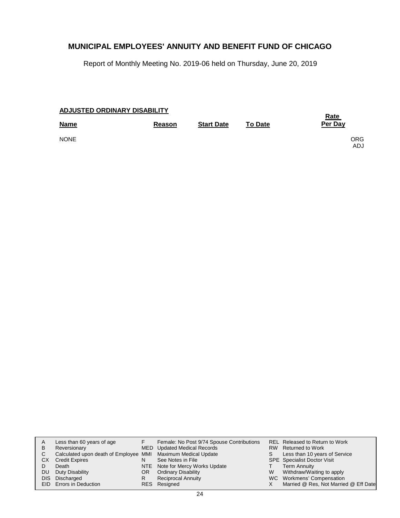Report of Monthly Meeting No. 2019-06 held on Thursday, June 20, 2019

| ADJUSTED ORDINARY DISABILITY | <u>Rate</u>   |                   |                |             |
|------------------------------|---------------|-------------------|----------------|-------------|
| <b>Name</b>                  | <b>Reason</b> | <b>Start Date</b> | <b>To Date</b> | Per Day     |
| <b>NONE</b>                  |               |                   |                | ORG.<br>ADJ |

| В         | Less than 60 years of age<br>Reversionary                    |     | Female: No Post 9/74 Spouse Contributions<br>MED Updated Medical Records |   | <b>REL Released to Return to Work</b><br>RW Returned to Work |
|-----------|--------------------------------------------------------------|-----|--------------------------------------------------------------------------|---|--------------------------------------------------------------|
| C.        | Calculated upon death of Employee MMI Maximum Medical Update |     |                                                                          |   | Less than 10 years of Service                                |
| СX        | <b>Credit Expires</b>                                        |     | See Notes in File                                                        |   | <b>SPE</b> Specialist Doctor Visit                           |
|           | Death                                                        |     | NTE Note for Mercy Works Update                                          |   | <b>Term Annuity</b>                                          |
| <b>DU</b> | Duty Disability                                              | OR. | <b>Ordinary Disability</b>                                               | W | Withdraw/Waiting to apply                                    |
|           | DIS Discharged                                               | R   | <b>Reciprocal Annuity</b>                                                |   | WC Workmens' Compensation                                    |
|           | EID Errors in Deduction                                      |     | RES Resigned                                                             |   | Married @ Res, Not Married @ Eff Date                        |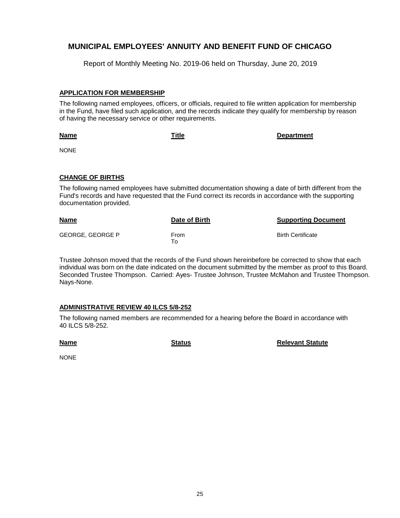Report of Monthly Meeting No. 2019-06 held on Thursday, June 20, 2019

### **APPLICATION FOR MEMBERSHIP**

The following named employees, officers, or officials, required to file written application for membership in the Fund, have filed such application, and the records indicate they qualify for membership by reason of having the necessary service or other requirements.

**Name**

**Title Department**

NONE

### **CHANGE OF BIRTHS**

The following named employees have submitted documentation showing a date of birth different from the Fund's records and have requested that the Fund correct its records in accordance with the supporting documentation provided.

| <u>Name</u>             | Date of Birth | <b>Supporting Document</b> |
|-------------------------|---------------|----------------------------|
| <b>GEORGE, GEORGE P</b> | From<br>⊤о    | <b>Birth Certificate</b>   |

Trustee Johnson moved that the records of the Fund shown hereinbefore be corrected to show that each individual was born on the date indicated on the document submitted by the member as proof to this Board. Seconded Trustee Thompson. Carried: Ayes- Trustee Johnson, Trustee McMahon and Trustee Thompson. Nays-None.

### **ADMINISTRATIVE REVIEW 40 ILCS 5/8-252**

The following named members are recommended for a hearing before the Board in accordance with 40 ILCS 5/8-252.

**Name**

**Status Relevant Statute** 

NONE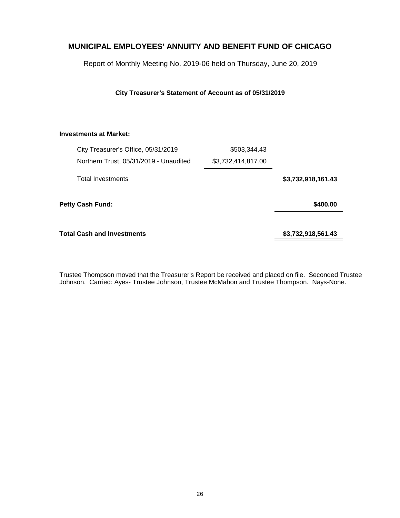Report of Monthly Meeting No. 2019-06 held on Thursday, June 20, 2019

### **City Treasurer's Statement of Account as of 05/31/2019**

### **Investments at Market:**

| City Treasurer's Office, 05/31/2019    | \$503,344.43       |                    |
|----------------------------------------|--------------------|--------------------|
| Northern Trust, 05/31/2019 - Unaudited | \$3,732,414,817.00 |                    |
| <b>Total Investments</b>               |                    | \$3,732,918,161.43 |
| <b>Petty Cash Fund:</b>                |                    | \$400.00           |
| Total Cash and Investments             |                    | \$3,732,918,561.43 |

Trustee Thompson moved that the Treasurer's Report be received and placed on file. Seconded Trustee Johnson. Carried: Ayes- Trustee Johnson, Trustee McMahon and Trustee Thompson. Nays-None.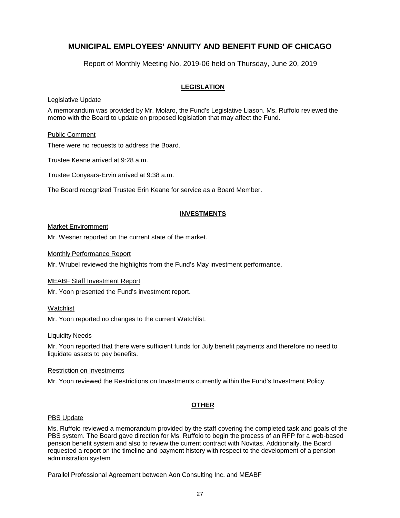Report of Monthly Meeting No. 2019-06 held on Thursday, June 20, 2019

### **LEGISLATION**

### Legislative Update

A memorandum was provided by Mr. Molaro, the Fund's Legislative Liason. Ms. Ruffolo reviewed the memo with the Board to update on proposed legislation that may affect the Fund.

### Public Comment

There were no requests to address the Board.

Trustee Keane arrived at 9:28 a.m.

Trustee Conyears-Ervin arrived at 9:38 a.m.

The Board recognized Trustee Erin Keane for service as a Board Member.

### **INVESTMENTS**

### Market Envirornment

Mr. Wesner reported on the current state of the market.

#### Monthly Performance Report

Mr. Wrubel reviewed the highlights from the Fund's May investment performance.

#### MEABF Staff Investment Report

Mr. Yoon presented the Fund's investment report.

#### **Watchlist**

Mr. Yoon reported no changes to the current Watchlist.

#### Liquidity Needs

Mr. Yoon reported that there were sufficient funds for July benefit payments and therefore no need to liquidate assets to pay benefits.

#### Restriction on Investments

Mr. Yoon reviewed the Restrictions on Investments currently within the Fund's Investment Policy.

### **OTHER**

#### PBS Update

Ms. Ruffolo reviewed a memorandum provided by the staff covering the completed task and goals of the PBS system. The Board gave direction for Ms. Ruffolo to begin the process of an RFP for a web-based pension benefit system and also to review the current contract with Novitas. Additionally, the Board requested a report on the timeline and payment history with respect to the development of a pension administration system

Parallel Professional Agreement between Aon Consulting Inc. and MEABF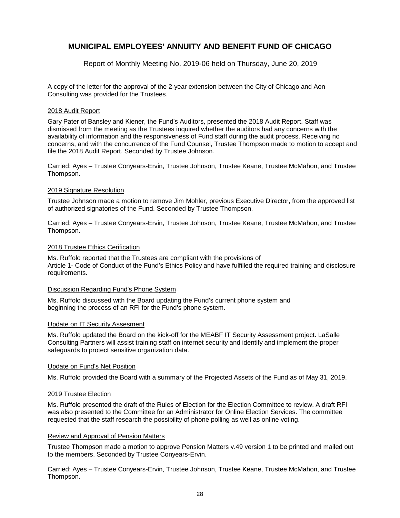Report of Monthly Meeting No. 2019-06 held on Thursday, June 20, 2019

A copy of the letter for the approval of the 2-year extension between the City of Chicago and Aon Consulting was provided for the Trustees.

#### 2018 Audit Report

Gary Pater of Bansley and Kiener, the Fund's Auditors, presented the 2018 Audit Report. Staff was dismissed from the meeting as the Trustees inquired whether the auditors had any concerns with the availability of information and the responsiveness of Fund staff during the audit process. Receiving no concerns, and with the concurrence of the Fund Counsel, Trustee Thompson made to motion to accept and file the 2018 Audit Report. Seconded by Trustee Johnson.

Carried: Ayes – Trustee Conyears-Ervin, Trustee Johnson, Trustee Keane, Trustee McMahon, and Trustee Thompson.

#### 2019 Signature Resolution

Trustee Johnson made a motion to remove Jim Mohler, previous Executive Director, from the approved list of authorized signatories of the Fund. Seconded by Trustee Thompson.

Carried: Ayes – Trustee Conyears-Ervin, Trustee Johnson, Trustee Keane, Trustee McMahon, and Trustee Thompson.

#### 2018 Trustee Ethics Cerification

Ms. Ruffolo reported that the Trustees are compliant with the provisions of Article 1- Code of Conduct of the Fund's Ethics Policy and have fulfilled the required training and disclosure requirements.

#### Discussion Regarding Fund's Phone System

Ms. Ruffolo discussed with the Board updating the Fund's current phone system and beginning the process of an RFI for the Fund's phone system.

#### Update on IT Security Assesment

Ms. Ruffolo updated the Board on the kick-off for the MEABF IT Security Assessment project. LaSalle Consulting Partners will assist training staff on internet security and identify and implement the proper safeguards to protect sensitive organization data.

#### Update on Fund's Net Position

Ms. Ruffolo provided the Board with a summary of the Projected Assets of the Fund as of May 31, 2019.

#### 2019 Trustee Election

Ms. Ruffolo presented the draft of the Rules of Election for the Election Committee to review. A draft RFI was also presented to the Committee for an Administrator for Online Election Services. The committee requested that the staff research the possibility of phone polling as well as online voting.

#### Review and Approval of Pension Matters

Trustee Thompson made a motion to approve Pension Matters v.49 version 1 to be printed and mailed out to the members. Seconded by Trustee Conyears-Ervin.

Carried: Ayes – Trustee Conyears-Ervin, Trustee Johnson, Trustee Keane, Trustee McMahon, and Trustee Thompson.